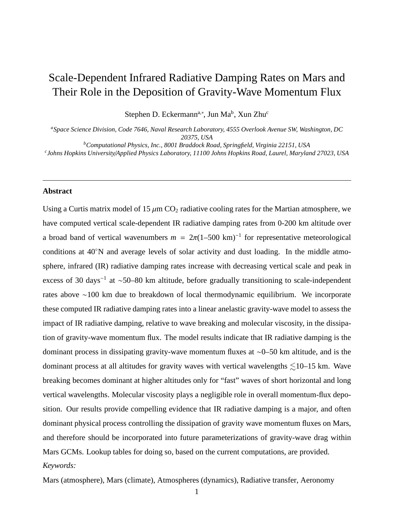# Scale-Dependent Infrared Radiative Damping Rates on Mars and Their Role in the Deposition of Gravity-Wave Momentum Flux

Stephen D. Eckermannª∗, Jun Ma<sup>b</sup>, Xun Zhu<sup>c</sup>

*<sup>a</sup>Space Science Division, Code 7646, Naval Research Laboratory, 4555 Overlook Avenue SW, Washington, DC 20375, USA*

*<sup>b</sup>Computational Physics, Inc., 8001 Braddock Road, Springfield, Virginia 22151, USA*

*c Johns Hopkins University*/*Applied Physics Laboratory, 11100 Johns Hopkins Road, Laurel, Maryland 27023, USA*

# **Abstract**

Using a Curtis matrix model of 15  $\mu$ m CO<sub>2</sub> radiative cooling rates for the Martian atmosphere, we have computed vertical scale-dependent IR radiative damping rates from 0-200 km altitude over a broad band of vertical wavenumbers  $m = 2\pi(1-500 \text{ km})^{-1}$  for representative meteorological conditions at 40◦N and average levels of solar activity and dust loading. In the middle atmosphere, infrared (IR) radiative damping rates increase with decreasing vertical scale and peak in excess of 30 days<sup>-1</sup> at ~50–80 km altitude, before gradually transitioning to scale-independent rates above ∼100 km due to breakdown of local thermodynamic equilibrium. We incorporate these computed IR radiative damping rates into a linear anelastic gravity-wave model to assess the impact of IR radiative damping, relative to wave breaking and molecular viscosity, in the dissipation of gravity-wave momentum flux. The model results indicate that IR radiative damping is the dominant process in dissipating gravity-wave momentum fluxes at ∼0–50 km altitude, and is the dominant process at all altitudes for gravity waves with vertical wavelengths  $\leq$ 10–15 km. Wave breaking becomes dominant at higher altitudes only for "fast" waves of short horizontal and long vertical wavelengths. Molecular viscosity plays a negligible role in overall momentum-flux deposition. Our results provide compelling evidence that IR radiative damping is a major, and often dominant physical process controlling the dissipation of gravity wave momentum fluxes on Mars, and therefore should be incorporated into future parameterizations of gravity-wave drag within Mars GCMs. Lookup tables for doing so, based on the current computations, are provided. *Keywords:*

Mars (atmosphere), Mars (climate), Atmospheres (dynamics), Radiative transfer, Aeronomy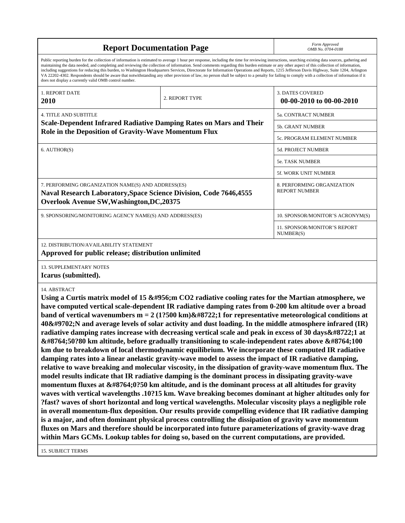| <b>Report Documentation Page</b>                                                                                                                                                                                                                                                                                                                                                                                                                                                                                                                                                                                                                                                                                                                                                                                                                                                                                                                                                                                                                                                                                                                                                                                                                                                                                                                                                                                                                                                                                                                                                                                                                                                                                                                                                                                                                                           | Form Approved<br>OMB No. 0704-0188                 |                                                     |  |  |  |
|----------------------------------------------------------------------------------------------------------------------------------------------------------------------------------------------------------------------------------------------------------------------------------------------------------------------------------------------------------------------------------------------------------------------------------------------------------------------------------------------------------------------------------------------------------------------------------------------------------------------------------------------------------------------------------------------------------------------------------------------------------------------------------------------------------------------------------------------------------------------------------------------------------------------------------------------------------------------------------------------------------------------------------------------------------------------------------------------------------------------------------------------------------------------------------------------------------------------------------------------------------------------------------------------------------------------------------------------------------------------------------------------------------------------------------------------------------------------------------------------------------------------------------------------------------------------------------------------------------------------------------------------------------------------------------------------------------------------------------------------------------------------------------------------------------------------------------------------------------------------------|----------------------------------------------------|-----------------------------------------------------|--|--|--|
| Public reporting burden for the collection of information is estimated to average 1 hour per response, including the time for reviewing instructions, searching existing data sources, gathering and<br>maintaining the data needed, and completing and reviewing the collection of information. Send comments regarding this burden estimate or any other aspect of this collection of information,<br>including suggestions for reducing this burden, to Washington Headquarters Services, Directorate for Information Operations and Reports, 1215 Jefferson Davis Highway, Suite 1204, Arlington<br>VA 22202-4302. Respondents should be aware that notwithstanding any other provision of law, no person shall be subject to a penalty for failing to comply with a collection of information if it<br>does not display a currently valid OMB control number.                                                                                                                                                                                                                                                                                                                                                                                                                                                                                                                                                                                                                                                                                                                                                                                                                                                                                                                                                                                                         |                                                    |                                                     |  |  |  |
| 1. REPORT DATE<br>2010                                                                                                                                                                                                                                                                                                                                                                                                                                                                                                                                                                                                                                                                                                                                                                                                                                                                                                                                                                                                                                                                                                                                                                                                                                                                                                                                                                                                                                                                                                                                                                                                                                                                                                                                                                                                                                                     | 2. REPORT TYPE                                     | <b>3. DATES COVERED</b><br>00-00-2010 to 00-00-2010 |  |  |  |
| <b>4. TITLE AND SUBTITLE</b>                                                                                                                                                                                                                                                                                                                                                                                                                                                                                                                                                                                                                                                                                                                                                                                                                                                                                                                                                                                                                                                                                                                                                                                                                                                                                                                                                                                                                                                                                                                                                                                                                                                                                                                                                                                                                                               | 5a. CONTRACT NUMBER                                |                                                     |  |  |  |
| <b>Scale-Dependent Infrared Radiative Damping Rates on Mars and Their</b><br>Role in the Deposition of Gravity-Wave Momentum Flux                                                                                                                                                                                                                                                                                                                                                                                                                                                                                                                                                                                                                                                                                                                                                                                                                                                                                                                                                                                                                                                                                                                                                                                                                                                                                                                                                                                                                                                                                                                                                                                                                                                                                                                                          |                                                    | 5b. GRANT NUMBER                                    |  |  |  |
|                                                                                                                                                                                                                                                                                                                                                                                                                                                                                                                                                                                                                                                                                                                                                                                                                                                                                                                                                                                                                                                                                                                                                                                                                                                                                                                                                                                                                                                                                                                                                                                                                                                                                                                                                                                                                                                                            |                                                    | 5c. PROGRAM ELEMENT NUMBER                          |  |  |  |
| 6. AUTHOR(S)                                                                                                                                                                                                                                                                                                                                                                                                                                                                                                                                                                                                                                                                                                                                                                                                                                                                                                                                                                                                                                                                                                                                                                                                                                                                                                                                                                                                                                                                                                                                                                                                                                                                                                                                                                                                                                                               |                                                    | 5d. PROJECT NUMBER                                  |  |  |  |
|                                                                                                                                                                                                                                                                                                                                                                                                                                                                                                                                                                                                                                                                                                                                                                                                                                                                                                                                                                                                                                                                                                                                                                                                                                                                                                                                                                                                                                                                                                                                                                                                                                                                                                                                                                                                                                                                            | <b>5e. TASK NUMBER</b>                             |                                                     |  |  |  |
|                                                                                                                                                                                                                                                                                                                                                                                                                                                                                                                                                                                                                                                                                                                                                                                                                                                                                                                                                                                                                                                                                                                                                                                                                                                                                                                                                                                                                                                                                                                                                                                                                                                                                                                                                                                                                                                                            | 5f. WORK UNIT NUMBER                               |                                                     |  |  |  |
| 7. PERFORMING ORGANIZATION NAME(S) AND ADDRESS(ES)<br><b>Naval Research Laboratory, Space Science Division, Code 7646, 4555</b><br><b>Overlook Avenue SW, Washington, DC, 20375</b>                                                                                                                                                                                                                                                                                                                                                                                                                                                                                                                                                                                                                                                                                                                                                                                                                                                                                                                                                                                                                                                                                                                                                                                                                                                                                                                                                                                                                                                                                                                                                                                                                                                                                        | 8. PERFORMING ORGANIZATION<br><b>REPORT NUMBER</b> |                                                     |  |  |  |
| 9. SPONSORING/MONITORING AGENCY NAME(S) AND ADDRESS(ES)                                                                                                                                                                                                                                                                                                                                                                                                                                                                                                                                                                                                                                                                                                                                                                                                                                                                                                                                                                                                                                                                                                                                                                                                                                                                                                                                                                                                                                                                                                                                                                                                                                                                                                                                                                                                                    |                                                    | 10. SPONSOR/MONITOR'S ACRONYM(S)                    |  |  |  |
|                                                                                                                                                                                                                                                                                                                                                                                                                                                                                                                                                                                                                                                                                                                                                                                                                                                                                                                                                                                                                                                                                                                                                                                                                                                                                                                                                                                                                                                                                                                                                                                                                                                                                                                                                                                                                                                                            |                                                    | 11. SPONSOR/MONITOR'S REPORT<br>NUMBER(S)           |  |  |  |
| 12. DISTRIBUTION/AVAILABILITY STATEMENT<br>Approved for public release; distribution unlimited                                                                                                                                                                                                                                                                                                                                                                                                                                                                                                                                                                                                                                                                                                                                                                                                                                                                                                                                                                                                                                                                                                                                                                                                                                                                                                                                                                                                                                                                                                                                                                                                                                                                                                                                                                             |                                                    |                                                     |  |  |  |
| <b>13. SUPPLEMENTARY NOTES</b><br>Icarus (submitted).                                                                                                                                                                                                                                                                                                                                                                                                                                                                                                                                                                                                                                                                                                                                                                                                                                                                                                                                                                                                                                                                                                                                                                                                                                                                                                                                                                                                                                                                                                                                                                                                                                                                                                                                                                                                                      |                                                    |                                                     |  |  |  |
| 14. ABSTRACT<br>Using a Curtis matrix model of 15 $\&\#956$ ; m CO2 radiative cooling rates for the Martian atmosphere, we<br>have computed vertical scale-dependent IR radiative damping rates from 0-200 km altitude over a broad<br>band of vertical wavenumbers $m = 2$ (1?500 km)−1 for representative meteorological conditions at<br>40◦N and average levels of solar activity and dust loading. In the middle atmosphere infrared (IR)<br>radiative damping rates increase with decreasing vertical scale and peak in excess of 30 days −1 at<br>∼50?80 km altitude, before gradually transitioning to scale-independent rates above ∼100<br>km due to breakdown of local thermodynamic equilibrium. We incorporate these computed IR radiative<br>damping rates into a linear anelastic gravity-wave model to assess the impact of IR radiative damping,<br>relative to wave breaking and molecular viscosity, in the dissipation of gravity-wave momentum flux. The<br>model results indicate that IR radiative damping is the dominant process in dissipating gravity-wave<br>momentum fluxes at ∼0?50 km altitude, and is the dominant process at all altitudes for gravity<br>waves with vertical wavelengths .10?15 km. Wave breaking becomes dominant at higher altitudes only for<br>?fast? waves of short horizontal and long vertical wavelengths. Molecular viscosity plays a negligible role<br>in overall momentum-flux deposition. Our results provide compelling evidence that IR radiative damping<br>is a major, and often dominant physical process controlling the dissipation of gravity wave momentum<br>fluxes on Mars and therefore should be incorporated into future parameterizations of gravity-wave drag<br>within Mars GCMs. Lookup tables for doing so, based on the current computations, are provided.<br><b>15. SUBJECT TERMS</b> |                                                    |                                                     |  |  |  |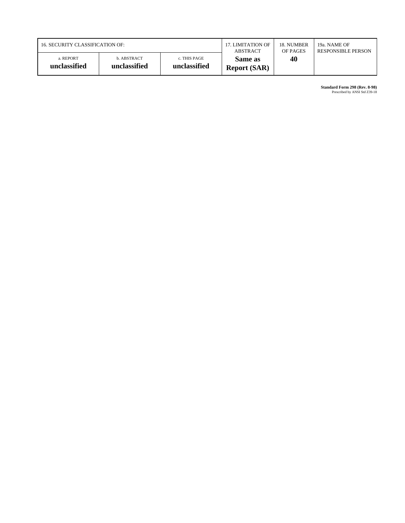| 16. SECURITY CLASSIFICATION OF: |                             |                              | 17. LIMITATION OF              | 18. NUMBER | 19a. NAME OF              |
|---------------------------------|-----------------------------|------------------------------|--------------------------------|------------|---------------------------|
|                                 |                             |                              | <b>ABSTRACT</b>                | OF PAGES   | <b>RESPONSIBLE PERSON</b> |
| a. REPORT<br>unclassified       | b. ABSTRACT<br>unclassified | c. THIS PAGE<br>unclassified | Same as<br><b>Report (SAR)</b> | 40         |                           |

**Standard Form 298 (Rev. 8-98)**<br>Prescribed by ANSI Std Z39-18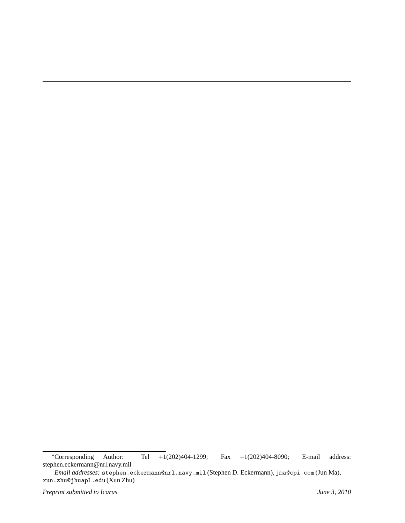<sup>∗</sup>Corresponding Author: Tel +1(202)404-1299; Fax +1(202)404-8090; E-mail address: stephen.eckermann@nrl.navy.mil

*Email addresses:* stephen.eckermann@nrl.navy.mil (Stephen D. Eckermann), jma@cpi.com (Jun Ma), xun.zhu@jhuapl.edu (Xun Zhu)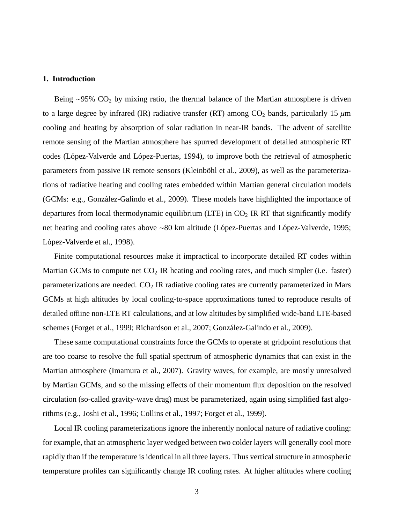# **1. Introduction**

Being ~95%  $CO<sub>2</sub>$  by mixing ratio, the thermal balance of the Martian atmosphere is driven to a large degree by infrared (IR) radiative transfer (RT) among  $CO<sub>2</sub>$  bands, particularly 15  $\mu$ m cooling and heating by absorption of solar radiation in near-IR bands. The advent of satellite remote sensing of the Martian atmosphere has spurred development of detailed atmospheric RT codes (López-Valverde and López-Puertas, 1994), to improve both the retrieval of atmospheric parameters from passive IR remote sensors (Kleinböhl et al., 2009), as well as the parameterizations of radiative heating and cooling rates embedded within Martian general circulation models (GCMs: e.g., González-Galindo et al., 2009). These models have highlighted the importance of departures from local thermodynamic equilibrium (LTE) in  $CO<sub>2</sub>$  IR RT that significantly modify net heating and cooling rates above ∼80 km altitude (López-Puertas and López-Valverde, 1995; López-Valverde et al., 1998).

Finite computational resources make it impractical to incorporate detailed RT codes within Martian GCMs to compute net  $CO<sub>2</sub>$  IR heating and cooling rates, and much simpler (i.e. faster) parameterizations are needed.  $CO<sub>2</sub>$  IR radiative cooling rates are currently parameterized in Mars GCMs at high altitudes by local cooling-to-space approximations tuned to reproduce results of detailed offline non-LTE RT calculations, and at low altitudes by simplified wide-band LTE-based schemes (Forget et al., 1999; Richardson et al., 2007; González-Galindo et al., 2009).

These same computational constraints force the GCMs to operate at gridpoint resolutions that are too coarse to resolve the full spatial spectrum of atmospheric dynamics that can exist in the Martian atmosphere (Imamura et al., 2007). Gravity waves, for example, are mostly unresolved by Martian GCMs, and so the missing effects of their momentum flux deposition on the resolved circulation (so-called gravity-wave drag) must be parameterized, again using simplified fast algorithms (e.g., Joshi et al., 1996; Collins et al., 1997; Forget et al., 1999).

Local IR cooling parameterizations ignore the inherently nonlocal nature of radiative cooling: for example, that an atmospheric layer wedged between two colder layers will generally cool more rapidly than if the temperature is identical in all three layers. Thus vertical structure in atmospheric temperature profiles can significantly change IR cooling rates. At higher altitudes where cooling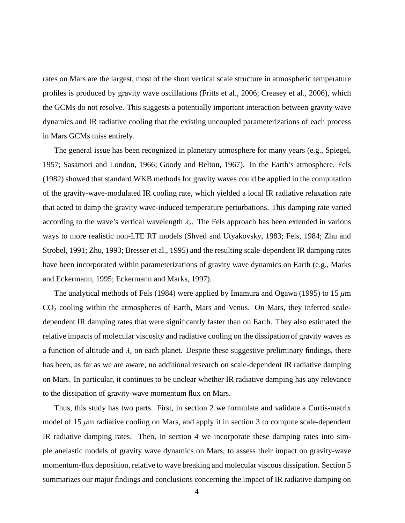rates on Mars are the largest, most of the short vertical scale structure in atmospheric temperature profiles is produced by gravity wave oscillations (Fritts et al., 2006; Creasey et al., 2006), which the GCMs do not resolve. This suggests a potentially important interaction between gravity wave dynamics and IR radiative cooling that the existing uncoupled parameterizations of each process in Mars GCMs miss entirely.

The general issue has been recognized in planetary atmosphere for many years (e.g., Spiegel, 1957; Sasamori and London, 1966; Goody and Belton, 1967). In the Earth's atmosphere, Fels (1982) showed that standard WKB methods for gravity waves could be applied in the computation of the gravity-wave-modulated IR cooling rate, which yielded a local IR radiative relaxation rate that acted to damp the gravity wave-induced temperature perturbations. This damping rate varied according to the wave's vertical wavelength  $\lambda_z$ . The Fels approach has been extended in various ways to more realistic non-LTE RT models (Shved and Utyakovsky, 1983; Fels, 1984; Zhu and Strobel, 1991; Zhu, 1993; Bresser et al., 1995) and the resulting scale-dependent IR damping rates have been incorporated within parameterizations of gravity wave dynamics on Earth (e.g., Marks and Eckermann, 1995; Eckermann and Marks, 1997).

The analytical methods of Fels (1984) were applied by Imamura and Ogawa (1995) to 15  $\mu$ m  $CO<sub>2</sub>$  cooling within the atmospheres of Earth, Mars and Venus. On Mars, they inferred scaledependent IR damping rates that were significantly faster than on Earth. They also estimated the relative impacts of molecular viscosity and radiative cooling on the dissipation of gravity waves as a function of altitude and  $\lambda_z$  on each planet. Despite these suggestive preliminary findings, there has been, as far as we are aware, no additional research on scale-dependent IR radiative damping on Mars. In particular, it continues to be unclear whether IR radiative damping has any relevance to the dissipation of gravity-wave momentum flux on Mars.

Thus, this study has two parts. First, in section 2 we formulate and validate a Curtis-matrix model of 15  $\mu$ m radiative cooling on Mars, and apply it in section 3 to compute scale-dependent IR radiative damping rates. Then, in section 4 we incorporate these damping rates into simple anelastic models of gravity wave dynamics on Mars, to assess their impact on gravity-wave momentum-flux deposition, relative to wave breaking and molecular viscous dissipation. Section 5 summarizes our major findings and conclusions concerning the impact of IR radiative damping on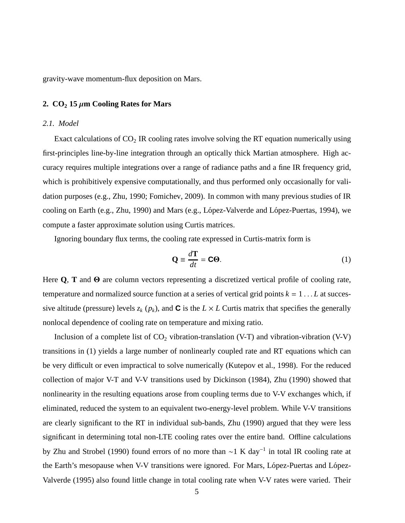gravity-wave momentum-flux deposition on Mars.

# **2. CO<sup>2</sup> 15** µ**m Cooling Rates for Mars**

# *2.1. Model*

Exact calculations of  $CO<sub>2</sub>$  IR cooling rates involve solving the RT equation numerically using first-principles line-by-line integration through an optically thick Martian atmosphere. High accuracy requires multiple integrations over a range of radiance paths and a fine IR frequency grid, which is prohibitively expensive computationally, and thus performed only occasionally for validation purposes (e.g., Zhu, 1990; Fomichev, 2009). In common with many previous studies of IR cooling on Earth (e.g., Zhu, 1990) and Mars (e.g., López-Valverde and López-Puertas, 1994), we compute a faster approximate solution using Curtis matrices.

Ignoring boundary flux terms, the cooling rate expressed in Curtis-matrix form is

$$
\mathbf{Q} \equiv \frac{d\mathbf{T}}{dt} = \mathbf{C}\mathbf{\Theta}.
$$
 (1)

Here **Q**, **T** and Θ are column vectors representing a discretized vertical profile of cooling rate, temperature and normalized source function at a series of vertical grid points  $k = 1...L$  at successive altitude (pressure) levels  $z_k$  ( $p_k$ ), and **C** is the  $L \times L$  Curtis matrix that specifies the generally nonlocal dependence of cooling rate on temperature and mixing ratio.

Inclusion of a complete list of  $CO<sub>2</sub>$  vibration-translation (V-T) and vibration-vibration (V-V) transitions in (1) yields a large number of nonlinearly coupled rate and RT equations which can be very difficult or even impractical to solve numerically (Kutepov et al., 1998). For the reduced collection of major V-T and V-V transitions used by Dickinson (1984), Zhu (1990) showed that nonlinearity in the resulting equations arose from coupling terms due to V-V exchanges which, if eliminated, reduced the system to an equivalent two-energy-level problem. While V-V transitions are clearly significant to the RT in individual sub-bands, Zhu (1990) argued that they were less significant in determining total non-LTE cooling rates over the entire band. Offline calculations by Zhu and Strobel (1990) found errors of no more than ∼1 K day<sup>−</sup><sup>1</sup> in total IR cooling rate at the Earth's mesopause when V-V transitions were ignored. For Mars, López-Puertas and López-Valverde (1995) also found little change in total cooling rate when V-V rates were varied. Their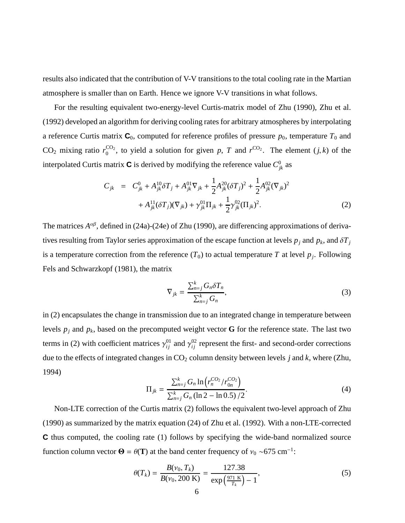results also indicated that the contribution of V-V transitions to the total cooling rate in the Martian atmosphere is smaller than on Earth. Hence we ignore V-V transitions in what follows.

For the resulting equivalent two-energy-level Curtis-matrix model of Zhu (1990), Zhu et al. (1992) developed an algorithm for deriving cooling rates for arbitrary atmospheres by interpolating a reference Curtis matrix  $\mathbf{C}_0$ , computed for reference profiles of pressure  $p_0$ , temperature  $T_0$  and CO<sub>2</sub> mixing ratio  $r_0^{\text{CO}_2}$  $_{0}^{\text{CO}_2}$ , to yield a solution for given *p*, *T* and  $r^{\text{CO}_2}$ . The element (*j*, *k*) of the interpolated Curtis matrix  $\bf{C}$  is derived by modifying the reference value  $C_{jk}^0$  as

$$
C_{jk} = C_{jk}^{0} + A_{jk}^{10} \delta T_j + A_{jk}^{01} \nabla_{jk} + \frac{1}{2} A_{jk}^{20} (\delta T_j)^2 + \frac{1}{2} A_{jk}^{02} (\nabla_{jk})^2
$$

$$
+ A_{jk}^{11} (\delta T_j) (\nabla_{jk}) + \gamma_{jk}^{01} \Pi_{jk} + \frac{1}{2} \gamma_{jk}^{02} (\Pi_{jk})^2.
$$
 (2)

The matrices  $A^{\alpha\beta}$ , defined in (24a)-(24e) of Zhu (1990), are differencing approximations of derivatives resulting from Taylor series approximation of the escape function at levels  $p_j$  and  $p_k$ , and  $\delta T_j$ is a temperature correction from the reference  $(T_0)$  to actual temperature T at level  $p_j$ . Following Fels and Schwarzkopf (1981), the matrix

$$
\nabla_{jk} = \frac{\sum_{n=j}^{k} G_n \delta T_n}{\sum_{n=j}^{k} G_n},
$$
\n(3)

in (2) encapsulates the change in transmission due to an integrated change in temperature between levels  $p_j$  and  $p_k$ , based on the precomputed weight vector **G** for the reference state. The last two terms in (2) with coefficient matrices  $\gamma_{ij}^{01}$  and  $\gamma_{ij}^{02}$  represent the first- and second-order corrections due to the effects of integrated changes in  $CO<sub>2</sub>$  column density between levels *j* and *k*, where (Zhu, 1994)

$$
\Pi_{jk} = \frac{\sum_{n=j}^{k} G_n \ln \left( r_n^{CO_2} / r_{0n}^{CO_2} \right)}{\sum_{n=j}^{k} G_n \left( \ln 2 - \ln 0.5 \right) / 2}.
$$
\n(4)

Non-LTE correction of the Curtis matrix (2) follows the equivalent two-level approach of Zhu (1990) as summarized by the matrix equation (24) of Zhu et al. (1992). With a non-LTE-corrected **C** thus computed, the cooling rate (1) follows by specifying the wide-band normalized source function column vector  $\mathbf{\Theta} = \theta(\mathbf{T})$  at the band center frequency of  $v_0 \sim 675 \text{ cm}^{-1}$ :

$$
\theta(T_k) = \frac{B(\nu_0, T_k)}{B(\nu_0, 200 \text{ K})} = \frac{127.38}{\exp\left(\frac{971 \text{ K}}{T_k}\right) - 1},\tag{5}
$$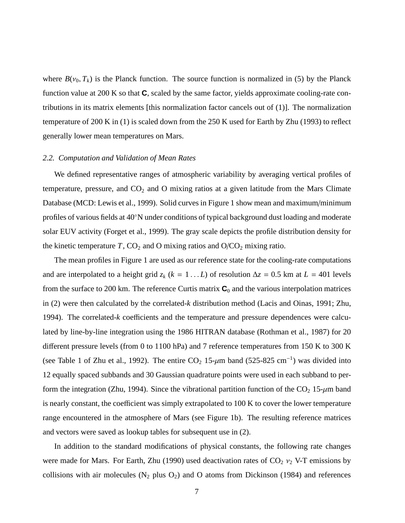where  $B(v_0, T_k)$  is the Planck function. The source function is normalized in (5) by the Planck function value at 200 K so that **C**, scaled by the same factor, yields approximate cooling-rate contributions in its matrix elements [this normalization factor cancels out of (1)]. The normalization temperature of 200 K in (1) is scaled down from the 250 K used for Earth by Zhu (1993) to reflect generally lower mean temperatures on Mars.

# *2.2. Computation and Validation of Mean Rates*

We defined representative ranges of atmospheric variability by averaging vertical profiles of temperature, pressure, and  $CO<sub>2</sub>$  and O mixing ratios at a given latitude from the Mars Climate Database (MCD: Lewis et al., 1999). Solid curves in Figure 1 show mean and maximum/minimum profiles of various fields at 40°N under conditions of typical background dust loading and moderate solar EUV activity (Forget et al., 1999). The gray scale depicts the profile distribution density for the kinetic temperature  $T$ ,  $CO_2$  and  $O$  mixing ratios and  $O/CO_2$  mixing ratio.

The mean profiles in Figure 1 are used as our reference state for the cooling-rate computations and are interpolated to a height grid  $z_k$  ( $k = 1...L$ ) of resolution  $\Delta z = 0.5$  km at  $L = 401$  levels from the surface to 200 km. The reference Curtis matrix  $C_0$  and the various interpolation matrices in (2) were then calculated by the correlated-*k* distribution method (Lacis and Oinas, 1991; Zhu, 1994). The correlated-*k* coefficients and the temperature and pressure dependences were calculated by line-by-line integration using the 1986 HITRAN database (Rothman et al., 1987) for 20 different pressure levels (from 0 to 1100 hPa) and 7 reference temperatures from 150 K to 300 K (see Table 1 of Zhu et al., 1992). The entire  $CO_2$  15- $\mu$ m band (525-825 cm<sup>-1</sup>) was divided into 12 equally spaced subbands and 30 Gaussian quadrature points were used in each subband to perform the integration (Zhu, 1994). Since the vibrational partition function of the  $CO<sub>2</sub> 15- $\mu$ m$  band is nearly constant, the coefficient was simply extrapolated to 100 K to cover the lower temperature range encountered in the atmosphere of Mars (see Figure 1b). The resulting reference matrices and vectors were saved as lookup tables for subsequent use in (2).

In addition to the standard modifications of physical constants, the following rate changes were made for Mars. For Earth, Zhu (1990) used deactivation rates of  $CO<sub>2</sub> v<sub>2</sub> V-T$  emissions by collisions with air molecules ( $N_2$  plus  $O_2$ ) and O atoms from Dickinson (1984) and references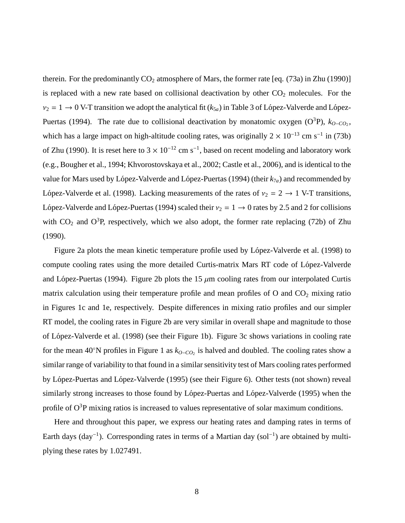therein. For the predominantly  $CO_2$  atmosphere of Mars, the former rate [eq. (73a) in Zhu (1990)] is replaced with a new rate based on collisional deactivation by other  $CO<sub>2</sub>$  molecules. For the  $v_2 = 1 \rightarrow 0$  V-T transition we adopt the analytical fit ( $k_{5a}$ ) in Table 3 of López-Valverde and López-Puertas (1994). The rate due to collisional deactivation by monatomic oxygen  $(O^3P)$ ,  $k_{O-CO_2}$ , which has a large impact on high-altitude cooling rates, was originally  $2 \times 10^{-13}$  cm s<sup>-1</sup> in (73b) of Zhu (1990). It is reset here to  $3 \times 10^{-12}$  cm s<sup>-1</sup>, based on recent modeling and laboratory work (e.g., Bougher et al., 1994; Khvorostovskaya et al., 2002; Castle et al., 2006), and is identical to the value for Mars used by López-Valverde and López-Puertas (1994) (their  $k_{7a}$ ) and recommended by López-Valverde et al. (1998). Lacking measurements of the rates of  $v_2 = 2 \rightarrow 1$  V-T transitions, López-Valverde and López-Puertas (1994) scaled their  $v_2 = 1 \rightarrow 0$  rates by 2.5 and 2 for collisions with  $CO_2$  and  $O^3P$ , respectively, which we also adopt, the former rate replacing (72b) of Zhu (1990).

Figure 2a plots the mean kinetic temperature profile used by López-Valverde et al. (1998) to compute cooling rates using the more detailed Curtis-matrix Mars RT code of López-Valverde and López-Puertas (1994). Figure 2b plots the 15  $\mu$ m cooling rates from our interpolated Curtis matrix calculation using their temperature profile and mean profiles of  $O$  and  $CO<sub>2</sub>$  mixing ratio in Figures 1c and 1e, respectively. Despite differences in mixing ratio profiles and our simpler RT model, the cooling rates in Figure 2b are very similar in overall shape and magnitude to those of L´opez-Valverde et al. (1998) (see their Figure 1b). Figure 3c shows variations in cooling rate for the mean 40<sup>°</sup>N profiles in Figure 1 as  $k_{O-CO_2}$  is halved and doubled. The cooling rates show a similar range of variability to that found in a similar sensitivity test of Mars cooling rates performed by López-Puertas and López-Valverde (1995) (see their Figure 6). Other tests (not shown) reveal similarly strong increases to those found by López-Puertas and López-Valverde (1995) when the profile of  $O<sup>3</sup>P$  mixing ratios is increased to values representative of solar maximum conditions.

Here and throughout this paper, we express our heating rates and damping rates in terms of Earth days (day<sup>-1</sup>). Corresponding rates in terms of a Martian day (sol<sup>-1</sup>) are obtained by multiplying these rates by 1.027491.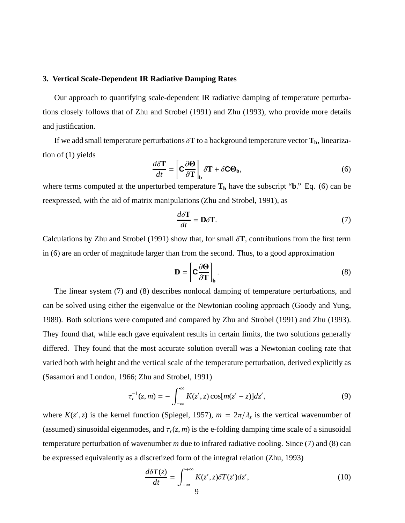# **3. Vertical Scale-Dependent IR Radiative Damping Rates**

Our approach to quantifying scale-dependent IR radiative damping of temperature perturbations closely follows that of Zhu and Strobel (1991) and Zhu (1993), who provide more details and justification.

If we add small temperature perturbations  $\delta$ **T** to a background temperature vector  $T_b$ , linearization of (1) yields

$$
\frac{d\delta \mathbf{T}}{dt} = \left[ \mathbf{C} \frac{\partial \mathbf{\Theta}}{\partial \mathbf{T}} \right]_{b} \delta \mathbf{T} + \delta \mathbf{C} \mathbf{\Theta}_{b},\tag{6}
$$

where terms computed at the unperturbed temperature  $T_b$  have the subscript " $b$ ." Eq. (6) can be reexpressed, with the aid of matrix manipulations (Zhu and Strobel, 1991), as

$$
\frac{d\delta \mathbf{T}}{dt} = \mathbf{D}\delta \mathbf{T}.\tag{7}
$$

Calculations by Zhu and Strobel (1991) show that, for small  $\delta$ **T**, contributions from the first term in (6) are an order of magnitude larger than from the second. Thus, to a good approximation

$$
\mathbf{D} = \left[ \mathbf{C} \frac{\partial \mathbf{\Theta}}{\partial \mathbf{T}} \right]_{\mathbf{b}} . \tag{8}
$$

The linear system (7) and (8) describes nonlocal damping of temperature perturbations, and can be solved using either the eigenvalue or the Newtonian cooling approach (Goody and Yung, 1989). Both solutions were computed and compared by Zhu and Strobel (1991) and Zhu (1993). They found that, while each gave equivalent results in certain limits, the two solutions generally differed. They found that the most accurate solution overall was a Newtonian cooling rate that varied both with height and the vertical scale of the temperature perturbation, derived explicitly as (Sasamori and London, 1966; Zhu and Strobel, 1991)

$$
\tau_r^{-1}(z,m) = -\int_{-\infty}^{\infty} K(z',z) \cos[m(z'-z)]dz',
$$
\n(9)

where  $K(z', z)$  is the kernel function (Spiegel, 1957),  $m = 2\pi/\lambda_z$  is the vertical wavenumber of (assumed) sinusoidal eigenmodes, and  $\tau_r(z, m)$  is the e-folding damping time scale of a sinusoidal temperature perturbation of wavenumber *m* due to infrared radiative cooling. Since (7) and (8) can be expressed equivalently as a discretized form of the integral relation (Zhu, 1993)

$$
\frac{d\delta T(z)}{dt} = \int_{-\infty}^{+\infty} K(z', z) \delta T(z') dz',\tag{10}
$$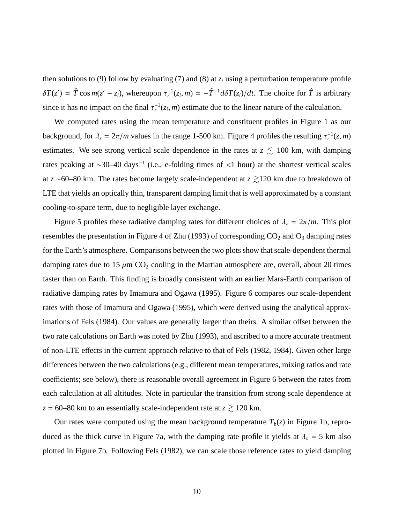then solutions to (9) follow by evaluating (7) and (8) at  $z_i$  using a perturbation temperature profile  $\delta T(z') = \hat{T} \cos m(z' - z_i)$ , whereupon  $\tau_r^{-1}(z_i, m) = -\hat{T}^{-1} d\delta T(z_i)/dt$ . The choice for  $\hat{T}$  is arbitrary since it has no impact on the final  $\tau_r^{-1}(z_i, m)$  estimate due to the linear nature of the calculation.

We computed rates using the mean temperature and constituent profiles in Figure 1 as our background, for  $\lambda_z = 2\pi/m$  values in the range 1-500 km. Figure 4 profiles the resulting  $\tau_r^{-1}(z, m)$ estimates. We see strong vertical scale dependence in the rates at  $z \lesssim 100$  km, with damping rates peaking at ∼30–40 days<sup>−</sup><sup>1</sup> (i.e., e-folding times of <1 hour) at the shortest vertical scales at *z* ∼60–80 km. The rates become largely scale-independent at *z*  $\gtrsim$ 120 km due to breakdown of LTE that yields an optically thin, transparent damping limit that is well approximated by a constant cooling-to-space term, due to negligible layer exchange.

Figure 5 profiles these radiative damping rates for different choices of  $\lambda_z = 2\pi/m$ . This plot resembles the presentation in Figure 4 of Zhu (1993) of corresponding  $CO_2$  and  $O_3$  damping rates for the Earth's atmosphere. Comparisons between the two plots show that scale-dependent thermal damping rates due to 15  $\mu$ m CO<sub>2</sub> cooling in the Martian atmosphere are, overall, about 20 times faster than on Earth. This finding is broadly consistent with an earlier Mars-Earth comparison of radiative damping rates by Imamura and Ogawa (1995). Figure 6 compares our scale-dependent rates with those of Imamura and Ogawa (1995), which were derived using the analytical approximations of Fels (1984). Our values are generally larger than theirs. A similar offset between the two rate calculations on Earth was noted by Zhu (1993), and ascribed to a more accurate treatment of non-LTE effects in the current approach relative to that of Fels (1982, 1984). Given other large differences between the two calculations (e.g., different mean temperatures, mixing ratios and rate coefficients; see below), there is reasonable overall agreement in Figure 6 between the rates from each calculation at all altitudes. Note in particular the transition from strong scale dependence at  $z = 60-80$  km to an essentially scale-independent rate at  $z \gtrsim 120$  km.

Our rates were computed using the mean background temperature  $T_b(z)$  in Figure 1b, reproduced as the thick curve in Figure 7a, with the damping rate profile it yields at  $\lambda_z = 5$  km also plotted in Figure 7b. Following Fels (1982), we can scale those reference rates to yield damping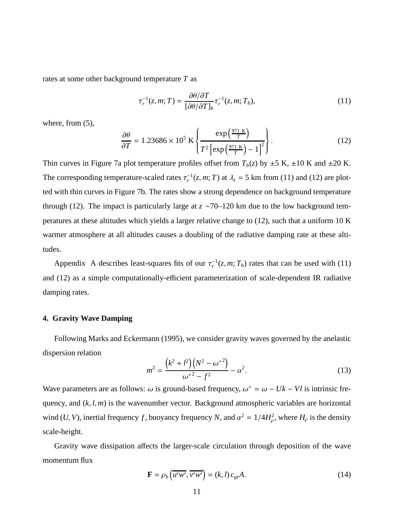rates at some other background temperature *T* as

$$
\tau_r^{-1}(z,m;T) = \frac{\partial \theta/\partial T}{[\partial \theta/\partial T]_b} \tau_r^{-1}(z,m;T_b),\tag{11}
$$

where, from (5),

$$
\frac{\partial \theta}{\partial T} = 1.23686 \times 10^5 \text{ K} \left\{ \frac{\exp\left(\frac{971 \text{ K}}{T}\right)}{T^2 \left[\exp\left(\frac{971 \text{ K}}{T}\right) - 1\right]^2} \right\}.
$$
 (12)

Thin curves in Figure 7a plot temperature profiles offset from  $T_b(z)$  by  $\pm 5$  K,  $\pm 10$  K and  $\pm 20$  K. The corresponding temperature-scaled rates  $\tau_r^{-1}(z, m; T)$  at  $\lambda_z = 5$  km from (11) and (12) are plotted with thin curves in Figure 7b. The rates show a strong dependence on background temperature through (12). The impact is particularly large at *z* ∼70–120 km due to the low background temperatures at these altitudes which yields a larger relative change to (12), such that a uniform 10 K warmer atmosphere at all altitudes causes a doubling of the radiative damping rate at these altitudes.

Appendix A describes least-squares fits of our  $\tau_r^{-1}(z, m; T_b)$  rates that can be used with (11) and (12) as a simple computationally-efficient parameterization of scale-dependent IR radiative damping rates.

# **4. Gravity Wave Damping**

Following Marks and Eckermann (1995), we consider gravity waves governed by the anelastic dispersion relation

$$
m^{2} = \frac{\left(k^{2} + l^{2}\right)\left(N^{2} - \omega^{2}\right)}{\omega^{2} - f^{2}} - \alpha^{2}.
$$
 (13)

Wave parameters are as follows:  $\omega$  is ground-based frequency,  $\omega^+ = \omega - Uk - Vl$  is intrinsic frequency, and  $(k, l, m)$  is the wavenumber vector. Background atmospheric variables are horizontal wind (*U*, *V*), inertial frequency *f*, buoyancy frequency *N*, and  $\alpha^2 = 1/4H_{\rho}^2$ , where  $H_{\rho}$  is the density scale-height.

Gravity wave dissipation affects the larger-scale circulation through deposition of the wave momentum flux

$$
\mathbf{F} = \rho_b \left( \overline{u'w'}, \overline{v'w'} \right) = (k, l) c_{gz} A. \tag{14}
$$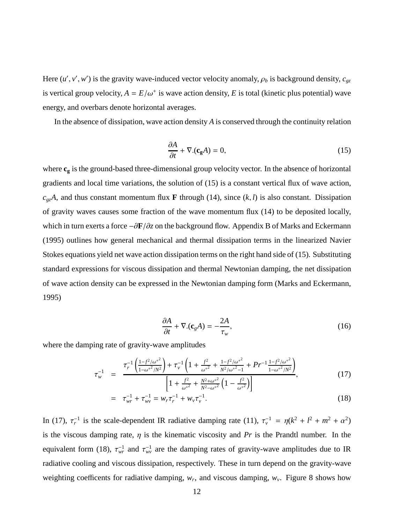Here  $(u', v', w')$  is the gravity wave-induced vector velocity anomaly,  $\rho_b$  is background density,  $c_{gz}$ is vertical group velocity,  $A = E/\omega^+$  is wave action density, E is total (kinetic plus potential) wave energy, and overbars denote horizontal averages.

In the absence of dissipation, wave action density *A* is conserved through the continuity relation

$$
\frac{\partial A}{\partial t} + \nabla \cdot (\mathbf{c}_g A) = 0,\tag{15}
$$

where **c<sup>g</sup>** is the ground-based three-dimensional group velocity vector. In the absence of horizontal gradients and local time variations, the solution of (15) is a constant vertical flux of wave action,  $c_{gz}A$ , and thus constant momentum flux **F** through (14), since  $(k, l)$  is also constant. Dissipation of gravity waves causes some fraction of the wave momentum flux (14) to be deposited locally, which in turn exerts a force −∂**F**/∂*z* on the background flow. Appendix B of Marks and Eckermann (1995) outlines how general mechanical and thermal dissipation terms in the linearized Navier Stokes equations yield net wave action dissipation terms on the right hand side of (15). Substituting standard expressions for viscous dissipation and thermal Newtonian damping, the net dissipation of wave action density can be expressed in the Newtonian damping form (Marks and Eckermann, 1995)

$$
\frac{\partial A}{\partial t} + \nabla \cdot (\mathbf{c}_g A) = -\frac{2A}{\tau_w},\tag{16}
$$

where the damping rate of gravity-wave amplitudes

$$
\tau_{w}^{-1} = \frac{\tau_{r}^{-1} \left( \frac{1 - f^{2}/\omega^{2}}{1 - \omega^{2}/N^{2}} \right) + \tau_{v}^{-1} \left( 1 + \frac{f^{2}}{\omega^{2}} + \frac{1 - f^{2}/\omega^{2}}{N^{2}/\omega^{2} - 1} + Pr^{-1} \frac{1 - f^{2}/\omega^{2}}{1 - \omega^{2}/N^{2}} \right)}{\left[ 1 + \frac{f^{2}}{\omega^{2}} + \frac{N^{2} + \omega^{2}}{N^{2} - \omega^{2}} \left( 1 - \frac{f^{2}}{\omega^{2}} \right) \right]},
$$
\n(17)

$$
= \tau_{wr}^{-1} + \tau_{wv}^{-1} = w_r \tau_r^{-1} + w_v \tau_v^{-1}.
$$
 (18)

In (17),  $\tau_r^{-1}$  is the scale-dependent IR radiative damping rate (11),  $\tau_v^{-1} = \eta(k^2 + l^2 + m^2 + \alpha^2)$ is the viscous damping rate,  $\eta$  is the kinematic viscosity and *Pr* is the Prandtl number. In the equivalent form (18),  $\tau_{wr}^{-1}$  and  $\tau_{wr}^{-1}$  are the damping rates of gravity-wave amplitudes due to IR radiative cooling and viscous dissipation, respectively. These in turn depend on the gravity-wave weighting coefficents for radiative damping,  $w_r$ , and viscous damping,  $w_v$ . Figure 8 shows how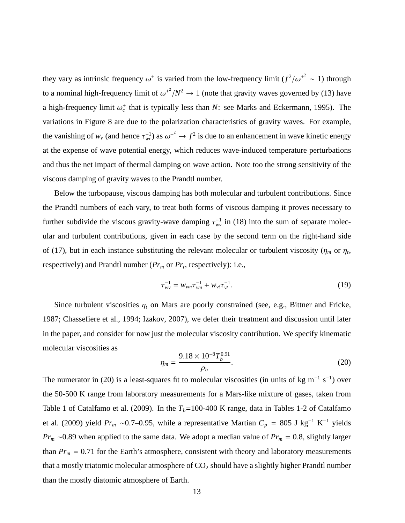they vary as intrinsic frequency  $\omega^+$  is varied from the low-frequency limit  $(f^2/\omega^{+2} \sim 1)$  through to a nominal high-frequency limit of  $\omega^{+^2}/N^2 \to 1$  (note that gravity waves governed by (13) have a high-frequency limit  $\omega_c^+$  that is typically less than *N*: see Marks and Eckermann, 1995). The variations in Figure 8 are due to the polarization characteristics of gravity waves. For example, the vanishing of  $w_v$  (and hence  $\tau_{wr}^{-1}$ ) as  $\omega^{+^2} \to f^2$  is due to an enhancement in wave kinetic energy at the expense of wave potential energy, which reduces wave-induced temperature perturbations and thus the net impact of thermal damping on wave action. Note too the strong sensitivity of the viscous damping of gravity waves to the Prandtl number.

Below the turbopause, viscous damping has both molecular and turbulent contributions. Since the Prandtl numbers of each vary, to treat both forms of viscous damping it proves necessary to further subdivide the viscous gravity-wave damping  $\tau_{wv}^{-1}$  in (18) into the sum of separate molecular and turbulent contributions, given in each case by the second term on the right-hand side of (17), but in each instance substituting the relevant molecular or turbulent viscosity ( $\eta_m$  or  $\eta_t$ , respectively) and Prandtl number (*Pr<sup>m</sup>* or *Pr<sup>t</sup>* , respectively): i.e.,

$$
\tau_{wv}^{-1} = w_{vm} \tau_{vm}^{-1} + w_{vt} \tau_{vt}^{-1}.
$$
\n(19)

Since turbulent viscosities  $\eta_t$  on Mars are poorly constrained (see, e.g., Bittner and Fricke, 1987; Chassefiere et al., 1994; Izakov, 2007), we defer their treatment and discussion until later in the paper, and consider for now just the molecular viscosity contribution. We specify kinematic molecular viscosities as

$$
\eta_m = \frac{9.18 \times 10^{-8} T_b^{0.91}}{\rho_b}.
$$
\n(20)

The numerator in (20) is a least-squares fit to molecular viscosities (in units of kg m<sup>-1</sup> s<sup>-1</sup>) over the 50-500 K range from laboratory measurements for a Mars-like mixture of gases, taken from Table 1 of Catalfamo et al. (2009). In the  $T_b$ =100-400 K range, data in Tables 1-2 of Catalfamo et al. (2009) yield  $Pr_m \sim 0.7{\text -}0.95$ , while a representative Martian  $C_p = 805$  J kg<sup>-1</sup> K<sup>-1</sup> yields *Pr<sub>m</sub>* ∼0.89 when applied to the same data. We adopt a median value of *Pr<sub>m</sub>* = 0.8, slightly larger than  $Pr_m = 0.71$  for the Earth's atmosphere, consistent with theory and laboratory measurements that a mostly triatomic molecular atmosphere of  $CO<sub>2</sub>$  should have a slightly higher Prandtl number than the mostly diatomic atmosphere of Earth.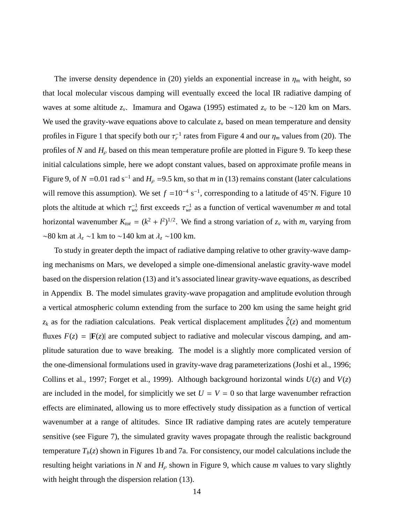The inverse density dependence in (20) yields an exponential increase in  $\eta_m$  with height, so that local molecular viscous damping will eventually exceed the local IR radiative damping of waves at some altitude *z<sup>v</sup>* . Imamura and Ogawa (1995) estimated *z<sup>v</sup>* to be ∼120 km on Mars. We used the gravity-wave equations above to calculate  $z<sub>v</sub>$  based on mean temperature and density profiles in Figure 1 that specify both our  $\tau_r^{-1}$  rates from Figure 4 and our  $\eta_m$  values from (20). The profiles of *N* and  $H_p$  based on this mean temperature profile are plotted in Figure 9. To keep these initial calculations simple, here we adopt constant values, based on approximate profile means in Figure 9, of *N* =0.01 rad s<sup>-1</sup> and  $H_\rho$  =9.5 km, so that *m* in (13) remains constant (later calculations will remove this assumption). We set  $f = 10^{-4}$  s<sup>-1</sup>, corresponding to a latitude of 45°N. Figure 10 plots the altitude at which  $\tau_{wv}^{-1}$  first exceeds  $\tau_{wv}^{-1}$  as a function of vertical wavenumber *m* and total horizontal wavenumber  $K_{tot} = (k^2 + l^2)^{1/2}$ . We find a strong variation of  $z_\nu$  with *m*, varying from ∼80 km at λ*<sup>z</sup>* ∼1 km to ∼140 km at λ*<sup>z</sup>* ∼100 km.

To study in greater depth the impact of radiative damping relative to other gravity-wave damping mechanisms on Mars, we developed a simple one-dimensional anelastic gravity-wave model based on the dispersion relation (13) and it's associated linear gravity-wave equations, as described in Appendix B. The model simulates gravity-wave propagation and amplitude evolution through a vertical atmospheric column extending from the surface to 200 km using the same height grid  $z_k$  as for the radiation calculations. Peak vertical displacement amplitudes  $\hat{\zeta}(z)$  and momentum fluxes  $F(z) = |\mathbf{F}(z)|$  are computed subject to radiative and molecular viscous damping, and amplitude saturation due to wave breaking. The model is a slightly more complicated version of the one-dimensional formulations used in gravity-wave drag parameterizations (Joshi et al., 1996; Collins et al., 1997; Forget et al., 1999). Although background horizontal winds  $U(z)$  and  $V(z)$ are included in the model, for simplicitly we set  $U = V = 0$  so that large wavenumber refraction effects are eliminated, allowing us to more effectively study dissipation as a function of vertical wavenumber at a range of altitudes. Since IR radiative damping rates are acutely temperature sensitive (see Figure 7), the simulated gravity waves propagate through the realistic background temperature  $T_b(z)$  shown in Figures 1b and 7a. For consistency, our model calculations include the resulting height variations in *N* and  $H<sub>\rho</sub>$  shown in Figure 9, which cause *m* values to vary slightly with height through the dispersion relation (13).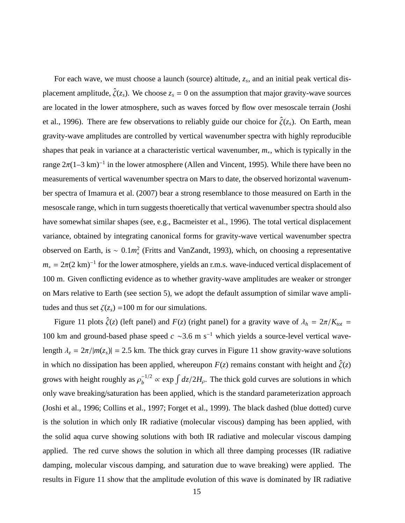For each wave, we must choose a launch (source) altitude, *z<sup>s</sup>* , and an initial peak vertical displacement amplitude,  $\hat{\zeta}(z_s)$ . We choose  $z_s = 0$  on the assumption that major gravity-wave sources are located in the lower atmosphere, such as waves forced by flow over mesoscale terrain (Joshi et al., 1996). There are few observations to reliably guide our choice for  $\hat{\zeta}(z_s)$ . On Earth, mean gravity-wave amplitudes are controlled by vertical wavenumber spectra with highly reproducible shapes that peak in variance at a characteristic vertical wavenumber, *m*∗, which is typically in the range  $2\pi(1-3 \text{ km})^{-1}$  in the lower atmosphere (Allen and Vincent, 1995). While there have been no measurements of vertical wavenumber spectra on Mars to date, the observed horizontal wavenumber spectra of Imamura et al. (2007) bear a strong resemblance to those measured on Earth in the mesoscale range, which in turn suggests thoeretically that vertical wavenumber spectra should also have somewhat similar shapes (see, e.g., Bacmeister et al., 1996). The total vertical displacement variance, obtained by integrating canonical forms for gravity-wave vertical wavenumber spectra observed on Earth, is ~ 0.1*m*<sup>2</sup> (Fritts and VanZandt, 1993), which, on choosing a representative  $m_* = 2\pi (2 \text{ km})^{-1}$  for the lower atmosphere, yields an r.m.s. wave-induced vertical displacement of 100 m. Given conflicting evidence as to whether gravity-wave amplitudes are weaker or stronger on Mars relative to Earth (see section 5), we adopt the default assumption of similar wave amplitudes and thus set  $\zeta(z_s)$  =100 m for our simulations.

Figure 11 plots  $\hat{\zeta}(z)$  (left panel) and *F*(*z*) (right panel) for a gravity wave of  $\lambda_h = 2\pi/K_{tot}$ 100 km and ground-based phase speed *c* ∼3.6 m s<sup>−</sup><sup>1</sup> which yields a source-level vertical wavelength  $\lambda_z = 2\pi / |m(z_s)| = 2.5$  km. The thick gray curves in Figure 11 show gravity-wave solutions in which no dissipation has been applied, whereupon  $F(z)$  remains constant with height and  $\hat{\zeta}(z)$ grows with height roughly as  $\rho_h^{-1/2}$  $b_b^{-1/2} \propto \exp \int dz / 2H_p$ . The thick gold curves are solutions in which only wave breaking/saturation has been applied, which is the standard parameterization approach (Joshi et al., 1996; Collins et al., 1997; Forget et al., 1999). The black dashed (blue dotted) curve is the solution in which only IR radiative (molecular viscous) damping has been applied, with the solid aqua curve showing solutions with both IR radiative and molecular viscous damping applied. The red curve shows the solution in which all three damping processes (IR radiative damping, molecular viscous damping, and saturation due to wave breaking) were applied. The results in Figure 11 show that the amplitude evolution of this wave is dominated by IR radiative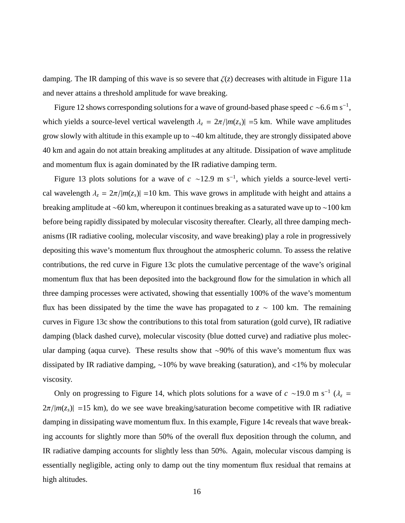damping. The IR damping of this wave is so severe that  $\zeta(z)$  decreases with altitude in Figure 11a and never attains a threshold amplitude for wave breaking.

Figure 12 shows corresponding solutions for a wave of ground-based phase speed  $c \sim 6.6 \text{ m s}^{-1}$ , which yields a source-level vertical wavelength  $\lambda_z = 2\pi / |m(z_s)| = 5$  km. While wave amplitudes grow slowly with altitude in this example up to ∼40 km altitude, they are strongly dissipated above 40 km and again do not attain breaking amplitudes at any altitude. Dissipation of wave amplitude and momentum flux is again dominated by the IR radiative damping term.

Figure 13 plots solutions for a wave of  $c \sim 12.9$  m s<sup>-1</sup>, which yields a source-level vertical wavelength  $\lambda_z = 2\pi / |m(z_s)| = 10$  km. This wave grows in amplitude with height and attains a breaking amplitude at ∼60 km, whereupon it continues breaking as a saturated wave up to ∼100 km before being rapidly dissipated by molecular viscosity thereafter. Clearly, all three damping mechanisms (IR radiative cooling, molecular viscosity, and wave breaking) play a role in progressively depositing this wave's momentum flux throughout the atmospheric column. To assess the relative contributions, the red curve in Figure 13c plots the cumulative percentage of the wave's original momentum flux that has been deposited into the background flow for the simulation in which all three damping processes were activated, showing that essentially 100% of the wave's momentum flux has been dissipated by the time the wave has propagated to  $z \sim 100$  km. The remaining curves in Figure 13c show the contributions to this total from saturation (gold curve), IR radiative damping (black dashed curve), molecular viscosity (blue dotted curve) and radiative plus molecular damping (aqua curve). These results show that ∼90% of this wave's momentum flux was dissipated by IR radiative damping, ∼10% by wave breaking (saturation), and <1% by molecular viscosity.

Only on progressing to Figure 14, which plots solutions for a wave of  $c \sim 19.0$  m s<sup>-1</sup> ( $\lambda_z$  =  $2\pi/|m(z_s)| = 15$  km), do we see wave breaking/saturation become competitive with IR radiative damping in dissipating wave momentum flux. In this example, Figure 14c reveals that wave breaking accounts for slightly more than 50% of the overall flux deposition through the column, and IR radiative damping accounts for slightly less than 50%. Again, molecular viscous damping is essentially negligible, acting only to damp out the tiny momentum flux residual that remains at high altitudes.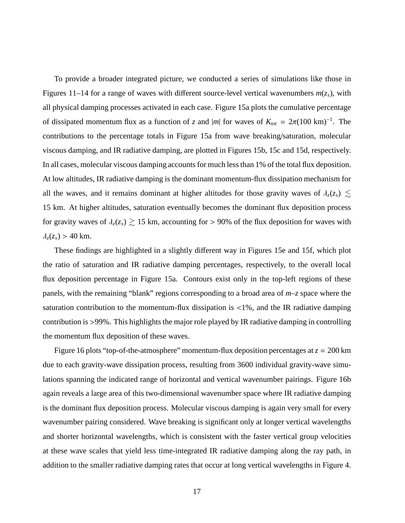To provide a broader integrated picture, we conducted a series of simulations like those in Figures 11–14 for a range of waves with different source-level vertical wavenumbers  $m(z_s)$ , with all physical damping processes activated in each case. Figure 15a plots the cumulative percentage of dissipated momentum flux as a function of *z* and |*m*| for waves of  $K_{tot} = 2\pi (100 \text{ km})^{-1}$ . The contributions to the percentage totals in Figure 15a from wave breaking/saturation, molecular viscous damping, and IR radiative damping, are plotted in Figures 15b, 15c and 15d, respectively. In all cases, molecular viscous damping accounts for much less than 1% of the total flux deposition. At low altitudes, IR radiative damping is the dominant momentum-flux dissipation mechanism for all the waves, and it remains dominant at higher altitudes for those gravity waves of  $\lambda_z(z_s) \lesssim$ 15 km. At higher altitudes, saturation eventually becomes the dominant flux deposition process for gravity waves of  $\lambda_z(z_s) \gtrsim 15$  km, accounting for > 90% of the flux deposition for waves with  $\lambda_z(z_s) > 40$  km.

These findings are highlighted in a slightly different way in Figures 15e and 15f, which plot the ratio of saturation and IR radiative damping percentages, respectively, to the overall local flux deposition percentage in Figure 15a. Contours exist only in the top-left regions of these panels, with the remaining "blank" regions corresponding to a broad area of *m*–*z* space where the saturation contribution to the momentum-flux dissipation is <1%, and the IR radiative damping contribution is >99%. This highlights the major role played by IR radiative damping in controlling the momentum flux deposition of these waves.

Figure 16 plots "top-of-the-atmosphere" momentum-flux deposition percentages at  $z = 200$  km due to each gravity-wave dissipation process, resulting from 3600 individual gravity-wave simulations spanning the indicated range of horizontal and vertical wavenumber pairings. Figure 16b again reveals a large area of this two-dimensional wavenumber space where IR radiative damping is the dominant flux deposition process. Molecular viscous damping is again very small for every wavenumber pairing considered. Wave breaking is significant only at longer vertical wavelengths and shorter horizontal wavelengths, which is consistent with the faster vertical group velocities at these wave scales that yield less time-integrated IR radiative damping along the ray path, in addition to the smaller radiative damping rates that occur at long vertical wavelengths in Figure 4.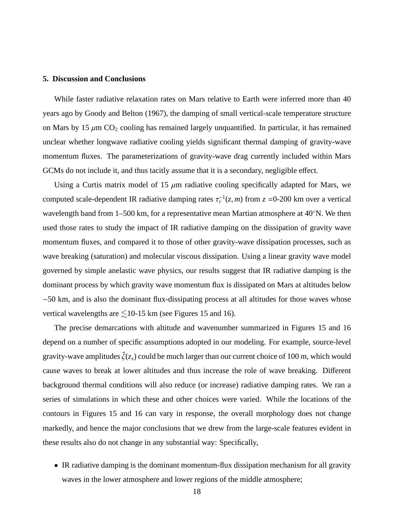# **5. Discussion and Conclusions**

While faster radiative relaxation rates on Mars relative to Earth were inferred more than 40 years ago by Goody and Belton (1967), the damping of small vertical-scale temperature structure on Mars by 15  $\mu$ m CO<sub>2</sub> cooling has remained largely unquantified. In particular, it has remained unclear whether longwave radiative cooling yields significant thermal damping of gravity-wave momentum fluxes. The parameterizations of gravity-wave drag currently included within Mars GCMs do not include it, and thus tacitly assume that it is a secondary, negligible effect.

Using a Curtis matrix model of 15  $\mu$ m radiative cooling specifically adapted for Mars, we computed scale-dependent IR radiative damping rates  $\tau_r^{-1}(z,m)$  from  $z = 0$ -200 km over a vertical wavelength band from 1–500 km, for a representative mean Martian atmosphere at 40◦N. We then used those rates to study the impact of IR radiative damping on the dissipation of gravity wave momentum fluxes, and compared it to those of other gravity-wave dissipation processes, such as wave breaking (saturation) and molecular viscous dissipation. Using a linear gravity wave model governed by simple anelastic wave physics, our results suggest that IR radiative damping is the dominant process by which gravity wave momentum flux is dissipated on Mars at altitudes below ∼50 km, and is also the dominant flux-dissipating process at all altitudes for those waves whose vertical wavelengths are  $\leq 10$ -15 km (see Figures 15 and 16).

The precise demarcations with altitude and wavenumber summarized in Figures 15 and 16 depend on a number of specific assumptions adopted in our modeling. For example, source-level gravity-wave amplitudes  $\hat{\zeta}(z_s)$  could be much larger than our current choice of 100 m, which would cause waves to break at lower altitudes and thus increase the role of wave breaking. Different background thermal conditions will also reduce (or increase) radiative damping rates. We ran a series of simulations in which these and other choices were varied. While the locations of the contours in Figures 15 and 16 can vary in response, the overall morphology does not change markedly, and hence the major conclusions that we drew from the large-scale features evident in these results also do not change in any substantial way: Specifically,

• IR radiative damping is the dominant momentum-flux dissipation mechanism for all gravity waves in the lower atmosphere and lower regions of the middle atmosphere;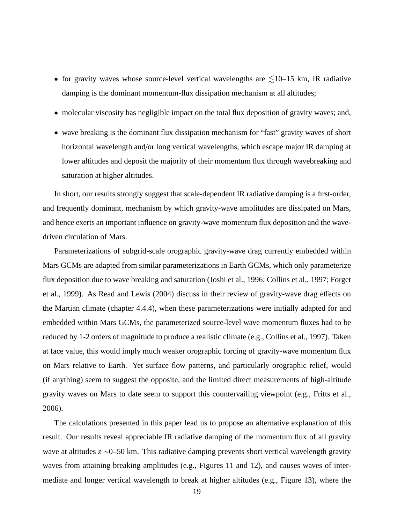- for gravity waves whose source-level vertical wavelengths are  $\leq 10-15$  km, IR radiative damping is the dominant momentum-flux dissipation mechanism at all altitudes;
- molecular viscosity has negligible impact on the total flux deposition of gravity waves; and,
- wave breaking is the dominant flux dissipation mechanism for "fast" gravity waves of short horizontal wavelength and/or long vertical wavelengths, which escape major IR damping at lower altitudes and deposit the majority of their momentum flux through wavebreaking and saturation at higher altitudes.

In short, our results strongly suggest that scale-dependent IR radiative damping is a first-order, and frequently dominant, mechanism by which gravity-wave amplitudes are dissipated on Mars, and hence exerts an important influence on gravity-wave momentum flux deposition and the wavedriven circulation of Mars.

Parameterizations of subgrid-scale orographic gravity-wave drag currently embedded within Mars GCMs are adapted from similar parameterizations in Earth GCMs, which only parameterize flux deposition due to wave breaking and saturation (Joshi et al., 1996; Collins et al., 1997; Forget et al., 1999). As Read and Lewis (2004) discuss in their review of gravity-wave drag effects on the Martian climate (chapter 4.4.4), when these parameterizations were initially adapted for and embedded within Mars GCMs, the parameterized source-level wave momentum fluxes had to be reduced by 1-2 orders of magnitude to produce a realistic climate (e.g., Collins et al., 1997). Taken at face value, this would imply much weaker orographic forcing of gravity-wave momentum flux on Mars relative to Earth. Yet surface flow patterns, and particularly orographic relief, would (if anything) seem to suggest the opposite, and the limited direct measurements of high-altitude gravity waves on Mars to date seem to support this countervailing viewpoint (e.g., Fritts et al., 2006).

The calculations presented in this paper lead us to propose an alternative explanation of this result. Our results reveal appreciable IR radiative damping of the momentum flux of all gravity wave at altitudes *z* ∼0–50 km. This radiative damping prevents short vertical wavelength gravity waves from attaining breaking amplitudes (e.g., Figures 11 and 12), and causes waves of intermediate and longer vertical wavelength to break at higher altitudes (e.g., Figure 13), where the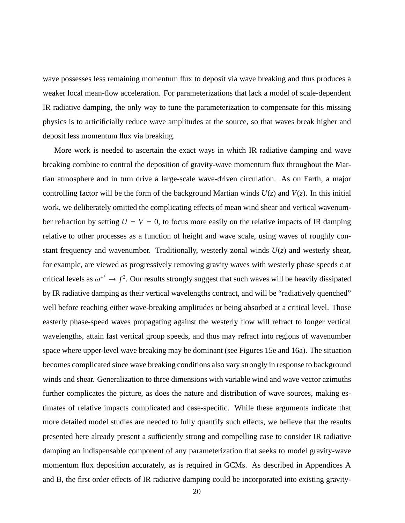wave possesses less remaining momentum flux to deposit via wave breaking and thus produces a weaker local mean-flow acceleration. For parameterizations that lack a model of scale-dependent IR radiative damping, the only way to tune the parameterization to compensate for this missing physics is to articificially reduce wave amplitudes at the source, so that waves break higher and deposit less momentum flux via breaking.

More work is needed to ascertain the exact ways in which IR radiative damping and wave breaking combine to control the deposition of gravity-wave momentum flux throughout the Martian atmosphere and in turn drive a large-scale wave-driven circulation. As on Earth, a major controlling factor will be the form of the background Martian winds  $U(z)$  and  $V(z)$ . In this initial work, we deliberately omitted the complicating effects of mean wind shear and vertical wavenumber refraction by setting  $U = V = 0$ , to focus more easily on the relative impacts of IR damping relative to other processes as a function of height and wave scale, using waves of roughly constant frequency and wavenumber. Traditionally, westerly zonal winds  $U(z)$  and westerly shear, for example, are viewed as progressively removing gravity waves with westerly phase speeds *c* at critical levels as  $\omega^+$ <sup>2</sup>  $\rightarrow$   $f^2$ . Our results strongly suggest that such waves will be heavily dissipated by IR radiative damping as their vertical wavelengths contract, and will be "radiatively quenched" well before reaching either wave-breaking amplitudes or being absorbed at a critical level. Those easterly phase-speed waves propagating against the westerly flow will refract to longer vertical wavelengths, attain fast vertical group speeds, and thus may refract into regions of wavenumber space where upper-level wave breaking may be dominant (see Figures 15e and 16a). The situation becomes complicated since wave breaking conditions also vary strongly in response to background winds and shear. Generalization to three dimensions with variable wind and wave vector azimuths further complicates the picture, as does the nature and distribution of wave sources, making estimates of relative impacts complicated and case-specific. While these arguments indicate that more detailed model studies are needed to fully quantify such effects, we believe that the results presented here already present a sufficiently strong and compelling case to consider IR radiative damping an indispensable component of any parameterization that seeks to model gravity-wave momentum flux deposition accurately, as is required in GCMs. As described in Appendices A and B, the first order effects of IR radiative damping could be incorporated into existing gravity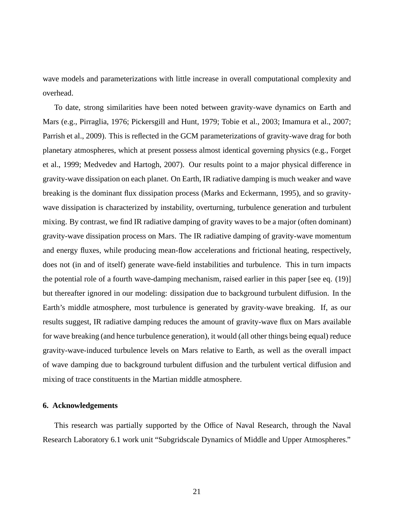wave models and parameterizations with little increase in overall computational complexity and overhead.

To date, strong similarities have been noted between gravity-wave dynamics on Earth and Mars (e.g., Pirraglia, 1976; Pickersgill and Hunt, 1979; Tobie et al., 2003; Imamura et al., 2007; Parrish et al., 2009). This is reflected in the GCM parameterizations of gravity-wave drag for both planetary atmospheres, which at present possess almost identical governing physics (e.g., Forget et al., 1999; Medvedev and Hartogh, 2007). Our results point to a major physical difference in gravity-wave dissipation on each planet. On Earth, IR radiative damping is much weaker and wave breaking is the dominant flux dissipation process (Marks and Eckermann, 1995), and so gravitywave dissipation is characterized by instability, overturning, turbulence generation and turbulent mixing. By contrast, we find IR radiative damping of gravity waves to be a major (often dominant) gravity-wave dissipation process on Mars. The IR radiative damping of gravity-wave momentum and energy fluxes, while producing mean-flow accelerations and frictional heating, respectively, does not (in and of itself) generate wave-field instabilities and turbulence. This in turn impacts the potential role of a fourth wave-damping mechanism, raised earlier in this paper [see eq. (19)] but thereafter ignored in our modeling: dissipation due to background turbulent diffusion. In the Earth's middle atmosphere, most turbulence is generated by gravity-wave breaking. If, as our results suggest, IR radiative damping reduces the amount of gravity-wave flux on Mars available for wave breaking (and hence turbulence generation), it would (all other things being equal) reduce gravity-wave-induced turbulence levels on Mars relative to Earth, as well as the overall impact of wave damping due to background turbulent diffusion and the turbulent vertical diffusion and mixing of trace constituents in the Martian middle atmosphere.

# **6. Acknowledgements**

This research was partially supported by the Office of Naval Research, through the Naval Research Laboratory 6.1 work unit "Subgridscale Dynamics of Middle and Upper Atmospheres."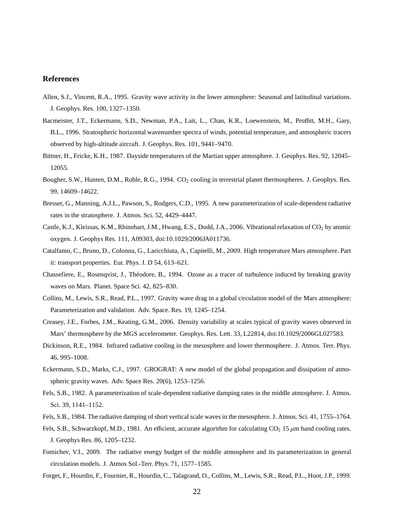## **References**

- Allen, S.J., Vincent, R.A., 1995. Gravity wave activity in the lower atmosphere: Seasonal and latitudinal variations. J. Geophys. Res. 100, 1327–1350.
- Bacmeister, J.T., Eckermann, S.D., Newman, P.A., Lait, L., Chan, K.R., Loewenstein, M., Proffitt, M.H., Gary, B.L., 1996. Stratospheric horizontal wavenumber spectra of winds, potential temperature, and atmospheric tracers observed by high-altitude aircraft. J. Geophys. Res. 101, 9441–9470.
- Bittner, H., Fricke, K.H., 1987. Dayside temperatures of the Martian upper atmosphere. J. Geophys. Res. 92, 12045– 12055.
- Bougher, S.W., Hunten, D.M., Roble, R.G., 1994. CO<sub>2</sub> cooling in terrestrial planet thermospheres. J. Geophys. Res. 99, 14609–14622.
- Bresser, G., Manning, A.J.L., Pawson, S., Rodgers, C.D., 1995. A new parameterization of scale-dependent radiative rates in the stratosphere. J. Atmos. Sci. 52, 4429–4447.
- Castle, K.J., Kleissas, K.M., Rhinehart, J.M., Hwang, E.S., Dodd, J.A., 2006. Vibrational relaxation of CO<sub>2</sub> by atomic oxygen. J. Geophys Res. 111, A09303, doi:10.1029/2006JA011736.
- Catalfamo, C., Bruno, D., Colonna, G., Laricchiuta, A., Capitelli, M., 2009. High temperature Mars atmosphere. Part ii: transport properties. Eur. Phys. J. D 54, 613–621.
- Chassefiere, E., Rosenqvist, J., Théodore, B., 1994. Ozone as a tracer of turbulence induced by breaking gravity waves on Mars. Planet. Space Sci. 42, 825–830.
- Collins, M., Lewis, S.R., Read, P.L., 1997. Gravity wave drag in a global circulation model of the Mars atmosphere: Parameterization and validation. Adv. Space. Res. 19, 1245–1254.
- Creasey, J.E., Forbes, J.M., Keating, G.M., 2006. Density variability at scales typical of gravity waves observed in Mars' thermosphere by the MGS accelerometer. Geophys. Res. Lett. 33, L22814, doi:10.1029/2006GL027583.
- Dickinson, R.E., 1984. Infrared radiative cooling in the mesosphere and lower thermosphere. J. Atmos. Terr. Phys. 46, 995–1008.
- Eckermann, S.D., Marks, C.J., 1997. GROGRAT: A new model of the global propagation and dissipation of atmospheric gravity waves. Adv. Space Res. 20(6), 1253–1256.
- Fels, S.B., 1982. A parameterization of scale-dependent radiative damping rates in the middle atmosphere. J. Atmos. Sci. 39, 1141–1152.
- Fels, S.B., 1984. The radiative damping of short vertical scale waves in the mesosphere. J. Atmos. Sci. 41, 1755–1764.
- Fels, S.B., Schwarzkopf, M.D., 1981. An efficient, accurate algorithm for calculating  $CO_2$  15  $\mu$ m band cooling rates. J. Geophys Res. 86, 1205–1232.
- Fomichev, V.I., 2009. The radiative energy budget of the middle atmosphere and its parameterization in general circulation models. J. Atmos Sol.-Terr. Phys. 71, 1577–1585.
- Forget, F., Hourdin, F., Fournier, R., Hourdin, C., Talagrand, O., Collins, M., Lewis, S.R., Read, P.L., Huot, J.P., 1999.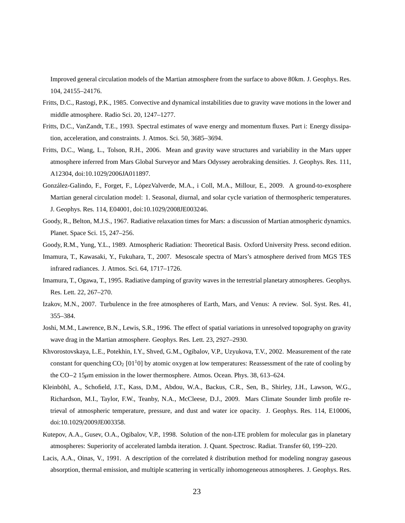Improved general circulation models of the Martian atmosphere from the surface to above 80km. J. Geophys. Res. 104, 24155–24176.

- Fritts, D.C., Rastogi, P.K., 1985. Convective and dynamical instabilities due to gravity wave motions in the lower and middle atmosphere. Radio Sci. 20, 1247–1277.
- Fritts, D.C., VanZandt, T.E., 1993. Spectral estimates of wave energy and momentum fluxes. Part i: Energy dissipation, acceleration, and constraints. J. Atmos. Sci. 50, 3685–3694.
- Fritts, D.C., Wang, L., Tolson, R.H., 2006. Mean and gravity wave structures and variability in the Mars upper atmosphere inferred from Mars Global Surveyor and Mars Odyssey aerobraking densities. J. Geophys. Res. 111, A12304, doi:10.1029/2006JA011897.
- González-Galindo, F., Forget, F., LópezValverde, M.A., i Coll, M.A., Millour, E., 2009. A ground-to-exosphere Martian general circulation model: 1. Seasonal, diurnal, and solar cycle variation of thermospheric temperatures. J. Geophys. Res. 114, E04001, doi:10.1029/2008JE003246.
- Goody, R., Belton, M.J.S., 1967. Radiative relaxation times for Mars: a discussion of Martian atmospheric dynamics. Planet. Space Sci. 15, 247–256.
- Goody, R.M., Yung, Y.L., 1989. Atmospheric Radiation: Theoretical Basis. Oxford University Press. second edition.
- Imamura, T., Kawasaki, Y., Fukuhara, T., 2007. Mesoscale spectra of Mars's atmosphere derived from MGS TES infrared radiances. J. Atmos. Sci. 64, 1717–1726.
- Imamura, T., Ogawa, T., 1995. Radiative damping of gravity waves in the terrestrial planetary atmospheres. Geophys. Res. Lett. 22, 267–270.
- Izakov, M.N., 2007. Turbulence in the free atmospheres of Earth, Mars, and Venus: A review. Sol. Syst. Res. 41, 355–384.
- Joshi, M.M., Lawrence, B.N., Lewis, S.R., 1996. The effect of spatial variations in unresolved topography on gravity wave drag in the Martian atmosphere. Geophys. Res. Lett. 23, 2927–2930.
- Khvorostovskaya, L.E., Potekhin, I.Y., Shved, G.M., Ogibalov, V.P., Uzyukova, T.V., 2002. Measurement of the rate constant for quenching  $CO_2$  [01<sup>1</sup>0] by atomic oxygen at low temperatures: Reassessment of the rate of cooling by the CO−2 15µm emission in the lower thermosphere. Atmos. Ocean. Phys. 38, 613–624.
- Kleinböhl, A., Schofield, J.T., Kass, D.M., Abdou, W.A., Backus, C.R., Sen, B., Shirley, J.H., Lawson, W.G., Richardson, M.I., Taylor, F.W., Teanby, N.A., McCleese, D.J., 2009. Mars Climate Sounder limb profile retrieval of atmospheric temperature, pressure, and dust and water ice opacity. J. Geophys. Res. 114, E10006, doi:10.1029/2009JE003358.
- Kutepov, A.A., Gusev, O.A., Ogibalov, V.P., 1998. Solution of the non-LTE problem for molecular gas in planetary atmospheres: Superiority of accelerated lambda iteration. J. Quant. Spectrosc. Radiat. Transfer 60, 199–220.
- Lacis, A.A., Oinas, V., 1991. A description of the correlated *k* distribution method for modeling nongray gaseous absorption, thermal emission, and multiple scattering in vertically inhomogeneous atmospheres. J. Geophys. Res.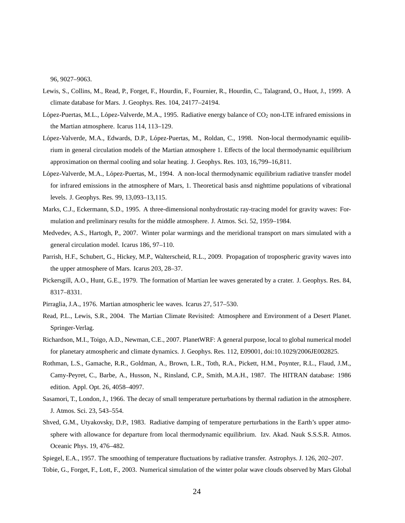96, 9027–9063.

- Lewis, S., Collins, M., Read, P., Forget, F., Hourdin, F., Fournier, R., Hourdin, C., Talagrand, O., Huot, J., 1999. A climate database for Mars. J. Geophys. Res. 104, 24177–24194.
- López-Puertas, M.L., López-Valverde, M.A., 1995. Radiative energy balance of  $CO_2$  non-LTE infrared emissions in the Martian atmosphere. Icarus 114, 113–129.
- López-Valverde, M.A., Edwards, D.P., López-Puertas, M., Roldan, C., 1998. Non-local thermodynamic equilibrium in general circulation models of the Martian atmosphere 1. Effects of the local thermodynamic equilibrium approximation on thermal cooling and solar heating. J. Geophys. Res. 103, 16,799–16,811.
- López-Valverde, M.A., López-Puertas, M., 1994. A non-local thermodynamic equilibrium radiative transfer model for infrared emissions in the atmosphere of Mars, 1. Theoretical basis ansd nighttime populations of vibrational levels. J. Geophys. Res. 99, 13,093–13,115.
- Marks, C.J., Eckermann, S.D., 1995. A three-dimensional nonhydrostatic ray-tracing model for gravity waves: Formulation and preliminary results for the middle atmosphere. J. Atmos. Sci. 52, 1959–1984.
- Medvedev, A.S., Hartogh, P., 2007. Winter polar warmings and the meridional transport on mars simulated with a general circulation model. Icarus 186, 97–110.
- Parrish, H.F., Schubert, G., Hickey, M.P., Walterscheid, R.L., 2009. Propagation of tropospheric gravity waves into the upper atmosphere of Mars. Icarus 203, 28–37.
- Pickersgill, A.O., Hunt, G.E., 1979. The formation of Martian lee waves generated by a crater. J. Geophys. Res. 84, 8317–8331.
- Pirraglia, J.A., 1976. Martian atmospheric lee waves. Icarus 27, 517–530.
- Read, P.L., Lewis, S.R., 2004. The Martian Climate Revisited: Atmosphere and Environment of a Desert Planet. Springer-Verlag.
- Richardson, M.I., Toigo, A.D., Newman, C.E., 2007. PlanetWRF: A general purpose, local to global numerical model for planetary atmospheric and climate dynamics. J. Geophys. Res. 112, E09001, doi:10.1029/2006JE002825.
- Rothman, L.S., Gamache, R.R., Goldman, A., Brown, L.R., Toth, R.A., Pickett, H.M., Poynter, R.L., Flaud, J.M., Camy-Peyret, C., Barbe, A., Husson, N., Rinsland, C.P., Smith, M.A.H., 1987. The HITRAN database: 1986 edition. Appl. Opt. 26, 4058–4097.
- Sasamori, T., London, J., 1966. The decay of small temperature perturbations by thermal radiation in the atmosphere. J. Atmos. Sci. 23, 543–554.
- Shved, G.M., Utyakovsky, D.P., 1983. Radiative damping of temperature perturbations in the Earth's upper atmosphere with allowance for departure from local thermodynamic equilibrium. Izv. Akad. Nauk S.S.S.R. Atmos. Oceanic Phys. 19, 476–482.
- Spiegel, E.A., 1957. The smoothing of temperature fluctuations by radiative transfer. Astrophys. J. 126, 202–207.

Tobie, G., Forget, F., Lott, F., 2003. Numerical simulation of the winter polar wave clouds observed by Mars Global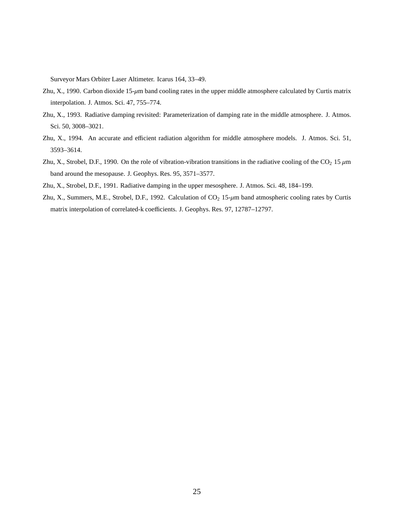Surveyor Mars Orbiter Laser Altimeter. Icarus 164, 33–49.

- Zhu, X., 1990. Carbon dioxide  $15-\mu m$  band cooling rates in the upper middle atmosphere calculated by Curtis matrix interpolation. J. Atmos. Sci. 47, 755–774.
- Zhu, X., 1993. Radiative damping revisited: Parameterization of damping rate in the middle atmosphere. J. Atmos. Sci. 50, 3008–3021.
- Zhu, X., 1994. An accurate and efficient radiation algorithm for middle atmosphere models. J. Atmos. Sci. 51, 3593–3614.
- Zhu, X., Strobel, D.F., 1990. On the role of vibration-vibration transitions in the radiative cooling of the CO<sub>2</sub> 15  $\mu$ m band around the mesopause. J. Geophys. Res. 95, 3571–3577.
- Zhu, X., Strobel, D.F., 1991. Radiative damping in the upper mesosphere. J. Atmos. Sci. 48, 184–199.
- Zhu, X., Summers, M.E., Strobel, D.F., 1992. Calculation of  $CO<sub>2</sub>$  15- $\mu$ m band atmospheric cooling rates by Curtis matrix interpolation of correlated-k coefficients. J. Geophys. Res. 97, 12787–12797.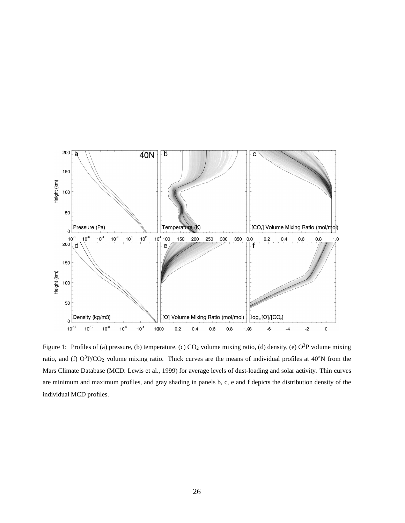

Figure 1: Profiles of (a) pressure, (b) temperature, (c)  $CO_2$  volume mixing ratio, (d) density, (e)  $O^3P$  volume mixing ratio, and (f)  $O^3P/CO_2$  volume mixing ratio. Thick curves are the means of individual profiles at 40°N from the Mars Climate Database (MCD: Lewis et al., 1999) for average levels of dust-loading and solar activity. Thin curves are minimum and maximum profiles, and gray shading in panels b, c, e and f depicts the distribution density of the individual MCD profiles.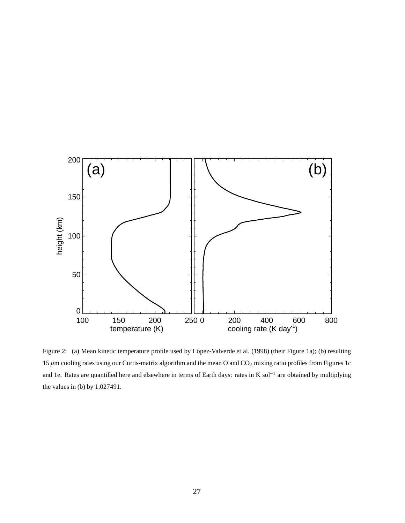

Figure 2: (a) Mean kinetic temperature profile used by López-Valverde et al. (1998) (their Figure 1a); (b) resulting 15  $\mu$ m cooling rates using our Curtis-matrix algorithm and the mean O and CO<sub>2</sub> mixing ratio profiles from Figures 1c and 1e. Rates are quantified here and elsewhere in terms of Earth days: rates in K sol<sup>-1</sup> are obtained by multiplying the values in (b) by 1.027491.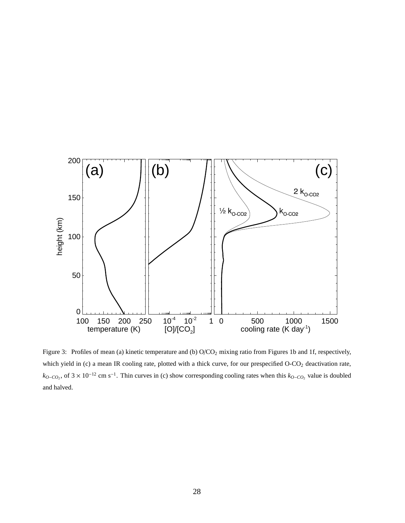

Figure 3: Profiles of mean (a) kinetic temperature and (b) O/CO<sub>2</sub> mixing ratio from Figures 1b and 1f, respectively, which yield in (c) a mean IR cooling rate, plotted with a thick curve, for our prespecified  $O-CO<sub>2</sub>$  deactivation rate,  $k_{O-CO_2}$ , of 3 × 10<sup>−12</sup> cm s<sup>−1</sup>. Thin curves in (c) show corresponding cooling rates when this  $k_{O-CO_2}$  value is doubled and halved.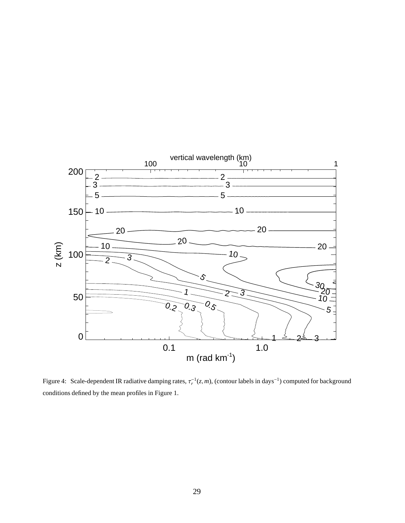

Figure 4: Scale-dependent IR radiative damping rates,  $\tau_r^{-1}(z,m)$ , (contour labels in days<sup>-1</sup>) computed for background conditions defined by the mean profiles in Figure 1.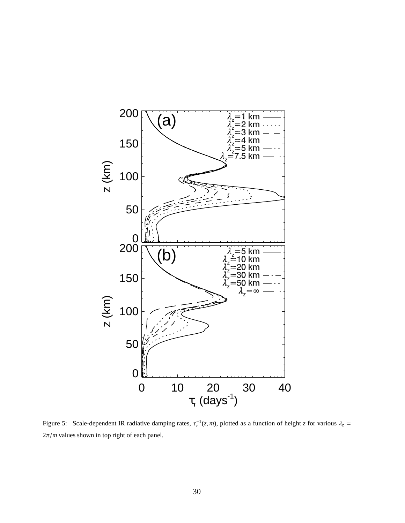

Figure 5: Scale-dependent IR radiative damping rates,  $\tau_r^{-1}(z,m)$ , plotted as a function of height *z* for various  $\lambda_z =$  $2\pi/m$  values shown in top right of each panel.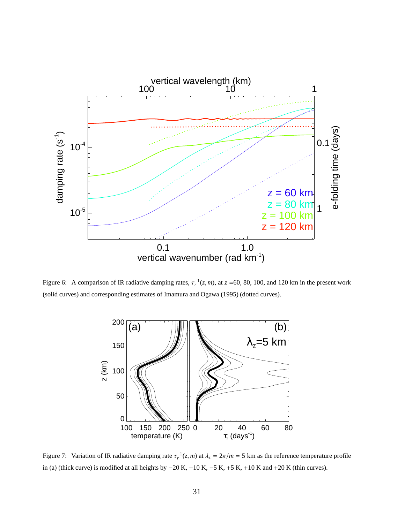

Figure 6: A comparison of IR radiative damping rates,  $\tau_r^{-1}(z, m)$ , at  $z = 60, 80, 100$ , and 120 km in the present work (solid curves) and corresponding estimates of Imamura and Ogawa (1995) (dotted curves).



Figure 7: Variation of IR radiative damping rate  $\tau_r^{-1}(z,m)$  at  $\lambda_z = 2\pi/m = 5$  km as the reference temperature profile in (a) (thick curve) is modified at all heights by  $-20$  K,  $-10$  K,  $-5$  K,  $+5$  K,  $+10$  K and  $+20$  K (thin curves).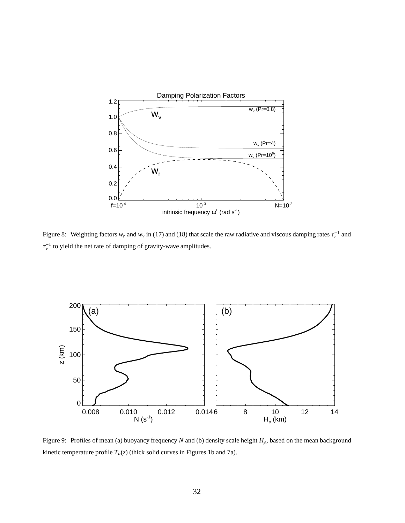

Figure 8: Weighting factors  $w_r$  and  $w_v$  in (17) and (18) that scale the raw radiative and viscous damping rates  $\tau_r^{-1}$  and  $\tau_{v}^{-1}$  to yield the net rate of damping of gravity-wave amplitudes.



Figure 9: Profiles of mean (a) buoyancy frequency *N* and (b) density scale height *H*ρ, based on the mean background kinetic temperature profile  $T_b(z)$  (thick solid curves in Figures 1b and 7a).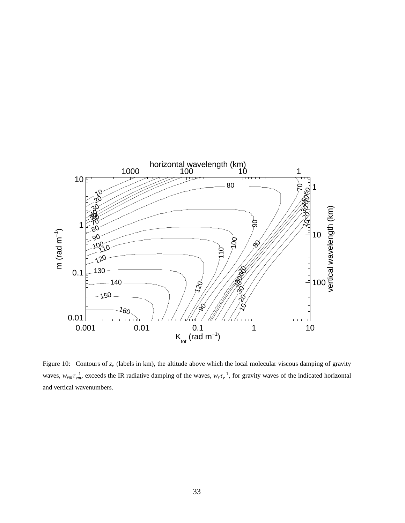

Figure 10: Contours of  $z<sub>v</sub>$  (labels in km), the altitude above which the local molecular viscous damping of gravity waves,  $w_{vm} \tau_{vm}^{-1}$ , exceeds the IR radiative damping of the waves,  $w_r \tau_r^{-1}$ , for gravity waves of the indicated horizontal and vertical wavenumbers.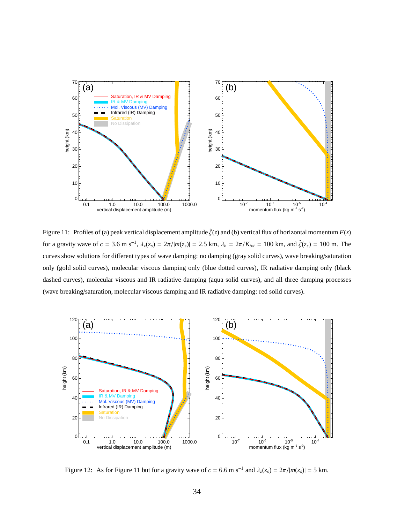

Figure 11: Profiles of (a) peak vertical displacement amplitude  $\hat{\zeta}(z)$  and (b) vertical flux of horizontal momentum  $F(z)$ for a gravity wave of  $c = 3.6$  m s<sup>-1</sup>,  $\lambda_z(z_s) = 2\pi/|m(z_s)| = 2.5$  km,  $\lambda_h = 2\pi/K_{tot} = 100$  km, and  $\hat{\zeta}(z_s) = 100$  m. The curves show solutions for different types of wave damping: no damping (gray solid curves), wave breaking/saturation only (gold solid curves), molecular viscous damping only (blue dotted curves), IR radiative damping only (black dashed curves), molecular viscous and IR radiative damping (aqua solid curves), and all three damping processes (wave breaking/saturation, molecular viscous damping and IR radiative damping: red solid curves).



Figure 12: As for Figure 11 but for a gravity wave of  $c = 6.6$  m s<sup>-1</sup> and  $\lambda_z(z_s) = 2\pi/|m(z_s)| = 5$  km.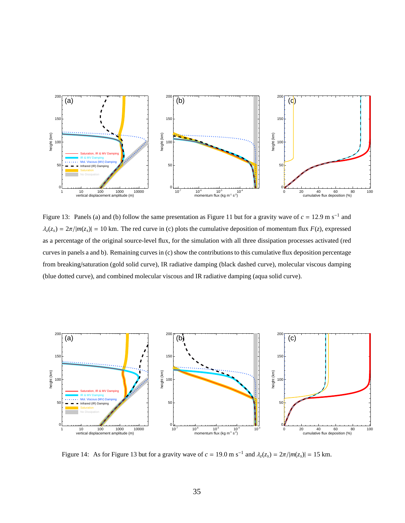

Figure 13: Panels (a) and (b) follow the same presentation as Figure 11 but for a gravity wave of  $c = 12.9 \text{ m s}^{-1}$  and  $\lambda_z(z_s) = 2\pi/|m(z_s)| = 10$  km. The red curve in (c) plots the cumulative deposition of momentum flux  $F(z)$ , expressed as a percentage of the original source-level flux, for the simulation with all three dissipation processes activated (red curves in panels a and b). Remaining curves in (c) show the contributions to this cumulative flux deposition percentage from breaking/saturation (gold solid curve), IR radiative damping (black dashed curve), molecular viscous damping (blue dotted curve), and combined molecular viscous and IR radiative damping (aqua solid curve).



Figure 14: As for Figure 13 but for a gravity wave of  $c = 19.0$  m s<sup>-1</sup> and  $\lambda_z(z_s) = 2\pi/|m(z_s)| = 15$  km.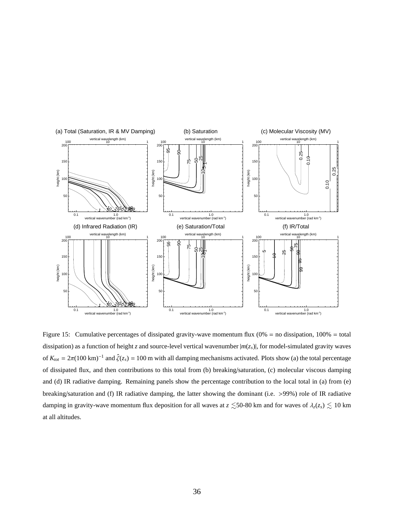

Figure 15: Cumulative percentages of dissipated gravity-wave momentum flux (0% = no dissipation, 100% = total dissipation) as a function of height *z* and source-level vertical wavenumber  $|m(z_s)|$ , for model-simulated gravity waves of  $K_{tot} = 2\pi (100 \text{ km})^{-1}$  and  $\hat{\zeta}(z_s) = 100 \text{ m}$  with all damping mechanisms activated. Plots show (a) the total percentage of dissipated flux, and then contributions to this total from (b) breaking/saturation, (c) molecular viscous damping and (d) IR radiative damping. Remaining panels show the percentage contribution to the local total in (a) from (e) breaking/saturation and (f) IR radiative damping, the latter showing the dominant (i.e. >99%) role of IR radiative damping in gravity-wave momentum flux deposition for all waves at  $z \le 50{\text -}80$  km and for waves of  $\lambda_z(z_s) \le 10$  km at all altitudes.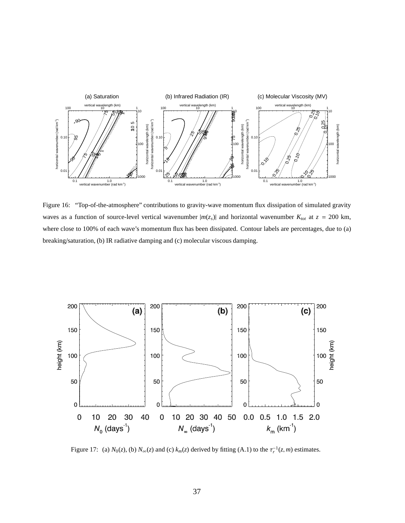

Figure 16: "Top-of-the-atmosphere" contributions to gravity-wave momentum flux dissipation of simulated gravity waves as a function of source-level vertical wavenumber  $|m(z_s)|$  and horizontal wavenumber  $K_{tot}$  at  $z = 200$  km, where close to 100% of each wave's momentum flux has been dissipated. Contour labels are percentages, due to (a) breaking/saturation, (b) IR radiative damping and (c) molecular viscous damping.



Figure 17: (a)  $N_0(z)$ , (b)  $N_\infty(z)$  and (c)  $k_m(z)$  derived by fitting (A.1) to the  $\tau_r^{-1}(z,m)$  estimates.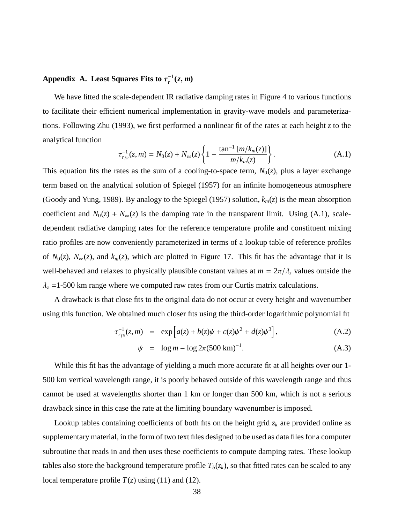#### **Appendix A. Least Squares Fits to**  $\tau_r^{-1}$  $^{1}_{r}(z, m)$

We have fitted the scale-dependent IR radiative damping rates in Figure 4 to various functions to facilitate their efficient numerical implementation in gravity-wave models and parameterizations. Following Zhu (1993), we first performed a nonlinear fit of the rates at each height *z* to the analytical function

$$
\tau_{r_{fin}}^{-1}(z,m) = N_0(z) + N_\infty(z) \left\{ 1 - \frac{\tan^{-1} [m/k_m(z)]}{m/k_m(z)} \right\}.
$$
 (A.1)

This equation fits the rates as the sum of a cooling-to-space term,  $N_0(z)$ , plus a layer exchange term based on the analytical solution of Spiegel (1957) for an infinite homogeneous atmosphere (Goody and Yung, 1989). By analogy to the Spiegel (1957) solution, *km*(*z*) is the mean absorption coefficient and  $N_0(z) + N_\infty(z)$  is the damping rate in the transparent limit. Using (A.1), scaledependent radiative damping rates for the reference temperature profile and constituent mixing ratio profiles are now conveniently parameterized in terms of a lookup table of reference profiles of  $N_0(z)$ ,  $N_\infty(z)$ , and  $k_m(z)$ , which are plotted in Figure 17. This fit has the advantage that it is well-behaved and relaxes to physically plausible constant values at  $m = 2\pi/\lambda_z$  values outside the  $\lambda_z$  =1-500 km range where we computed raw rates from our Curtis matrix calculations.

A drawback is that close fits to the original data do not occur at every height and wavenumber using this function. We obtained much closer fits using the third-order logarithmic polynomial fit

$$
\tau_{r_{fit}}^{-1}(z,m) = \exp\left[a(z) + b(z)\psi + c(z)\psi^2 + d(z)\psi^3\right], \tag{A.2}
$$

$$
\psi = \log m - \log 2\pi (500 \text{ km})^{-1}.
$$
 (A.3)

While this fit has the advantage of yielding a much more accurate fit at all heights over our 1-500 km vertical wavelength range, it is poorly behaved outside of this wavelength range and thus cannot be used at wavelengths shorter than 1 km or longer than 500 km, which is not a serious drawback since in this case the rate at the limiting boundary wavenumber is imposed.

Lookup tables containing coefficients of both fits on the height grid  $z_k$  are provided online as supplementary material, in the form of two text files designed to be used as data files for a computer subroutine that reads in and then uses these coefficients to compute damping rates. These lookup tables also store the background temperature profile  $T_b(z_k)$ , so that fitted rates can be scaled to any local temperature profile  $T(z)$  using (11) and (12).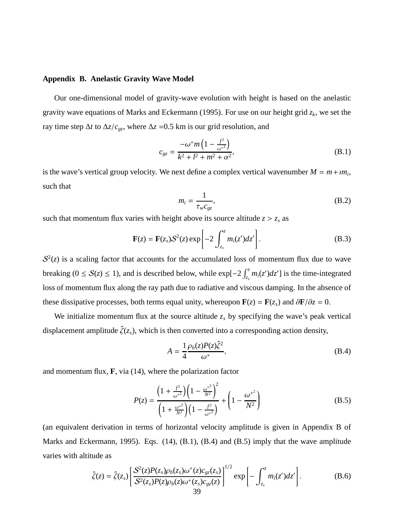## **Appendix B. Anelastic Gravity Wave Model**

Our one-dimensional model of gravity-wave evolution with height is based on the anelastic gravity wave equations of Marks and Eckermann (1995). For use on our height grid *z<sup>k</sup>* , we set the ray time step  $\Delta t$  to  $\Delta z/c_{gz}$ , where  $\Delta z$  =0.5 km is our grid resolution, and

$$
c_{gz} = \frac{-\omega^+ m \left(1 - \frac{f^2}{\omega^+} \right)}{k^2 + l^2 + m^2 + \alpha^2},
$$
\n(B.1)

is the wave's vertical group velocity. We next define a complex vertical wavenumber  $M = m + im_i$ , such that

$$
m_i = \frac{1}{\tau_w c_{gz}},\tag{B.2}
$$

such that momentum flux varies with height above its source altitude  $z > z_s$  as

$$
\mathbf{F}(z) = \mathbf{F}(z_s)S^2(z) \exp\left[-2\int_{z_s}^z m_i(z')dz'\right].
$$
 (B.3)

 $S<sup>2</sup>(z)$  is a scaling factor that accounts for the accumulated loss of momentum flux due to wave breaking (0 ≤  $S(z)$  ≤ 1), and is described below, while  $\exp[-2\int_{z_s}^{z} m_i(z')dz']$  is the time-integrated loss of momentum flux along the ray path due to radiative and viscous damping. In the absence of these dissipative processes, both terms equal unity, whereupon  $\mathbf{F}(z) = \mathbf{F}(z_s)$  and  $\partial \mathbf{F}/\partial z = 0$ .

We initialize momentum flux at the source altitude  $z<sub>s</sub>$  by specifying the wave's peak vertical displacement amplitude  $\hat{\zeta}(z_s)$ , which is then converted into a corresponding action density,

$$
A = \frac{1}{4} \frac{\rho_b(z) P(z) \hat{\zeta}^2}{\omega^+},\tag{B.4}
$$

and momentum flux, **F**, via (14), where the polarization factor

$$
P(z) = \frac{\left(1 + \frac{f^2}{\omega^{+2}}\right)\left(1 - \frac{\omega^{+2}}{N^2}\right)^2}{\left(1 + \frac{\omega^{+2}}{N^2}\right)\left(1 - \frac{f^2}{\omega^{+2}}\right)} + \left(1 - \frac{\omega^{+2}}{N^2}\right)
$$
(B.5)

(an equivalent derivation in terms of horizontal velocity amplitude is given in Appendix B of Marks and Eckermann, 1995). Eqs. (14), (B.1), (B.4) and (B.5) imply that the wave amplitude varies with altitude as

$$
\hat{\zeta}(z) = \hat{\zeta}(z_s) \left[ \frac{S^2(z)P(z_s)\rho_b(z_s)\omega^+(z)c_{gz}(z_s)}{S^2(z_s)P(z)\rho_b(z)\omega^+(z_s)c_{gz}(z)} \right]^{1/2} \exp\left[ -\int_{z_s}^z m_i(z')dz' \right].
$$
\n(B.6)